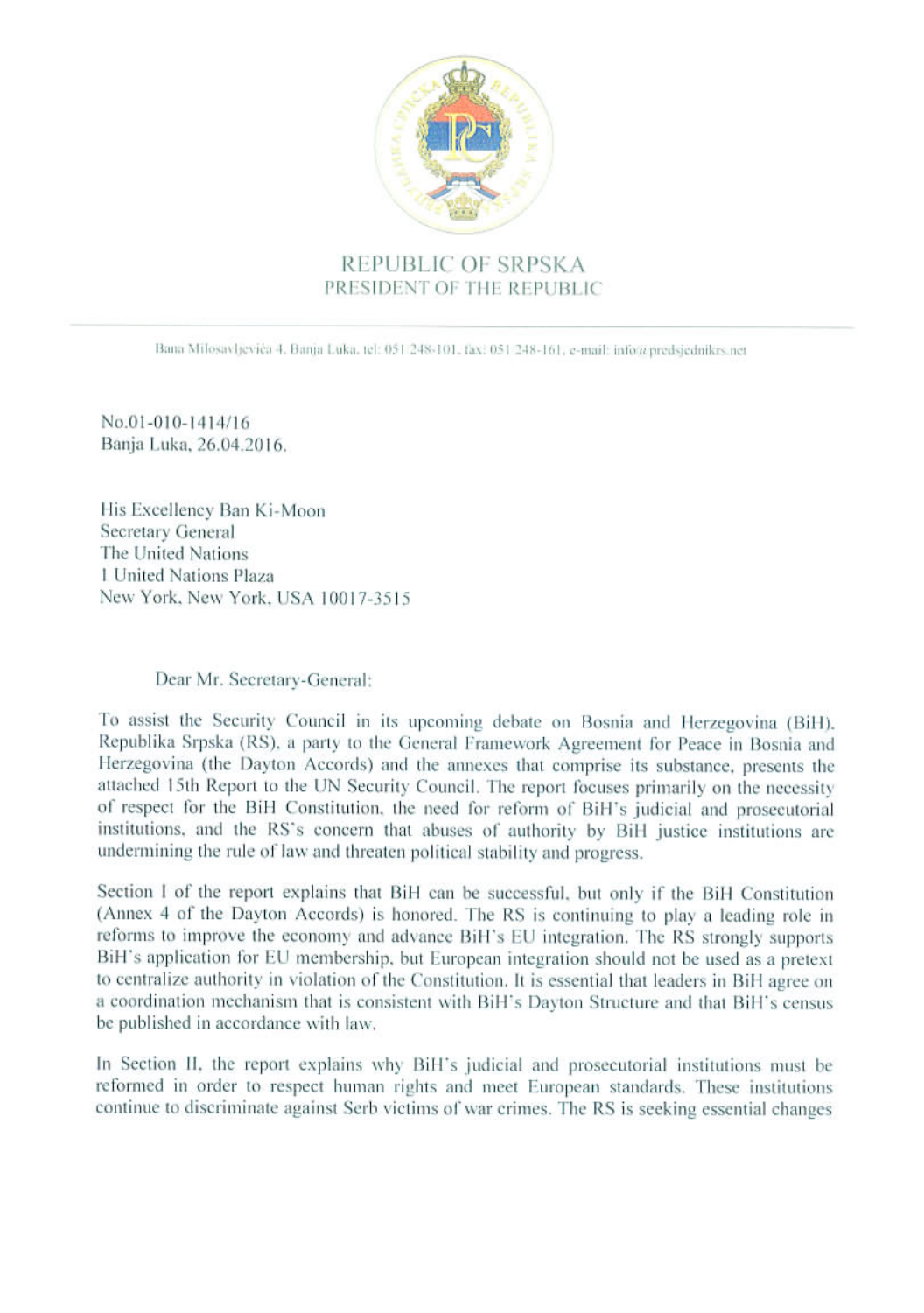

## REPUBLIC OF SRPSKA PRESIDENT OF THE REPUBLIC

Bana Milosavljevića 4. Banja Luka, tel: 051 248-101, fax: 051 248-161, e-mail: info@predsjednikrs.net

No.01-010-1414/16 Banja Luka, 26.04.2016.

His Excellency Ban Ki-Moon Secretary General The United Nations 1 United Nations Plaza New York, New York, USA 10017-3515

## Dear Mr. Secretary-General:

To assist the Security Council in its upcoming debate on Bosnia and Herzegovina (BiH). Republika Srpska (RS), a party to the General Framework Agreement for Peace in Bosnia and Herzegovina (the Dayton Accords) and the annexes that comprise its substance, presents the attached 15th Report to the UN Security Council. The report focuses primarily on the necessity of respect for the BiH Constitution, the need for reform of BiH's judicial and prosecutorial institutions, and the RS's concern that abuses of authority by BiH justice institutions are undermining the rule of law and threaten political stability and progress.

Section I of the report explains that BiH can be successful, but only if the BiH Constitution (Annex 4 of the Dayton Accords) is honored. The RS is continuing to play a leading role in reforms to improve the economy and advance BiH's EU integration. The RS strongly supports BiH's application for EU membership, but European integration should not be used as a pretext to centralize authority in violation of the Constitution. It is essential that leaders in BiH agree on a coordination mechanism that is consistent with BiH's Dayton Structure and that BiH's census be published in accordance with law.

In Section II, the report explains why BiH's judicial and prosecutorial institutions must be reformed in order to respect human rights and meet European standards. These institutions continue to discriminate against Serb victims of war crimes. The RS is seeking essential changes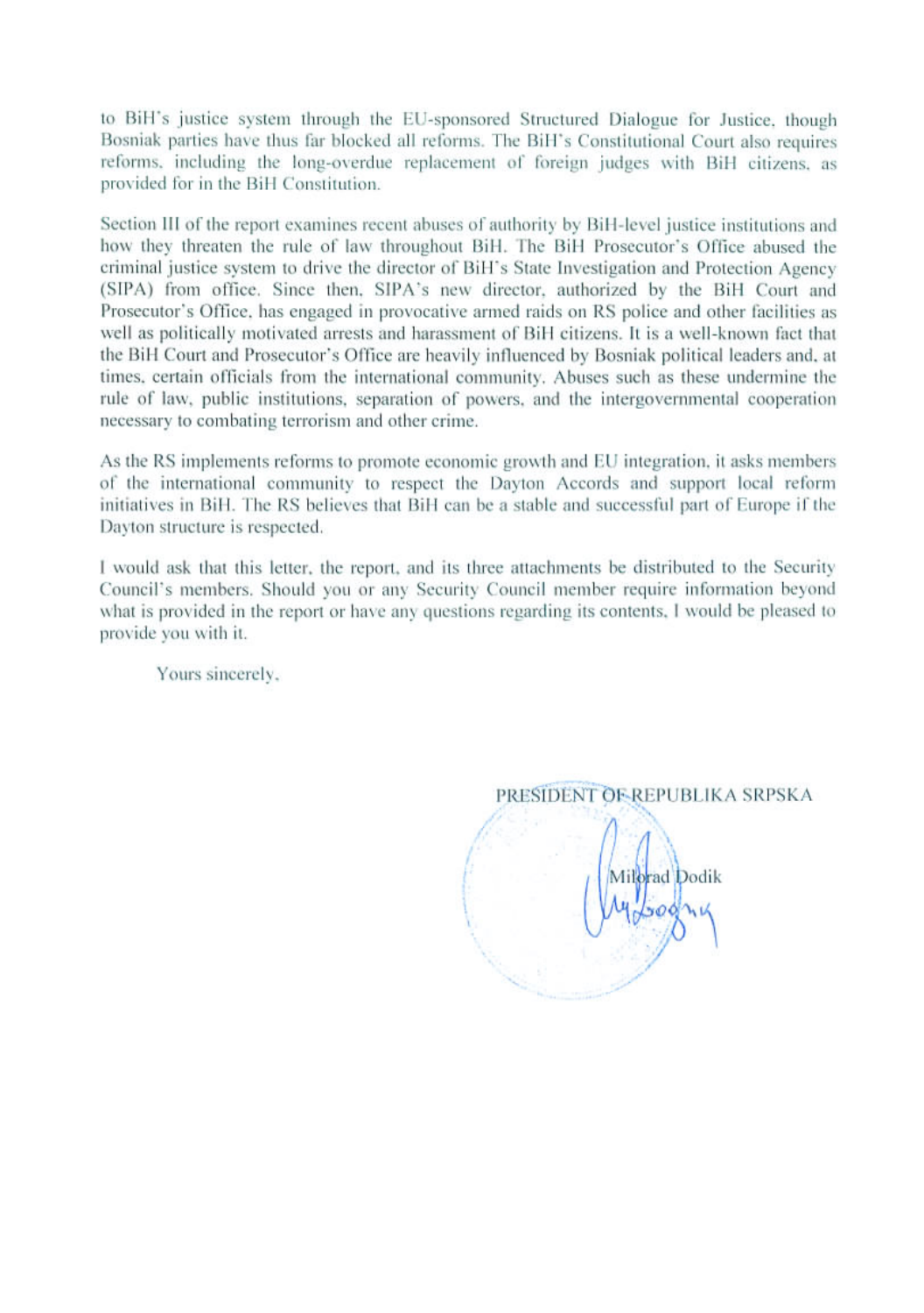to BiH's justice system through the EU-sponsored Structured Dialogue for Justice, though Bosniak parties have thus far blocked all reforms. The BiH's Constitutional Court also requires reforms, including the long-overdue replacement of foreign judges with BiH citizens, as provided for in the BiH Constitution.

Section III of the report examines recent abuses of authority by BiH-level justice institutions and how they threaten the rule of law throughout BiH. The BiH Prosecutor's Office abused the criminal justice system to drive the director of BiH's State Investigation and Protection Agency (SIPA) from office. Since then, SIPA's new director, authorized by the BiH Court and Prosecutor's Office, has engaged in provocative armed raids on RS police and other facilities as well as politically motivated arrests and harassment of BiH citizens. It is a well-known fact that the BiH Court and Prosecutor's Office are heavily influenced by Bosniak political leaders and, at times, certain officials from the international community. Abuses such as these undermine the rule of law, public institutions, separation of powers, and the intergovernmental cooperation necessary to combating terrorism and other crime.

As the RS implements reforms to promote economic growth and EU integration, it asks members of the international community to respect the Dayton Accords and support local reform initiatives in BiH. The RS believes that BiH can be a stable and successful part of Europe if the Dayton structure is respected.

I would ask that this letter, the report, and its three attachments be distributed to the Security Council's members. Should you or any Security Council member require information beyond what is provided in the report or have any questions regarding its contents, I would be pleased to provide you with it.

Yours sincerely.

PRESIDENT OF REPUBLIKA SRPSKA Milorad Dodik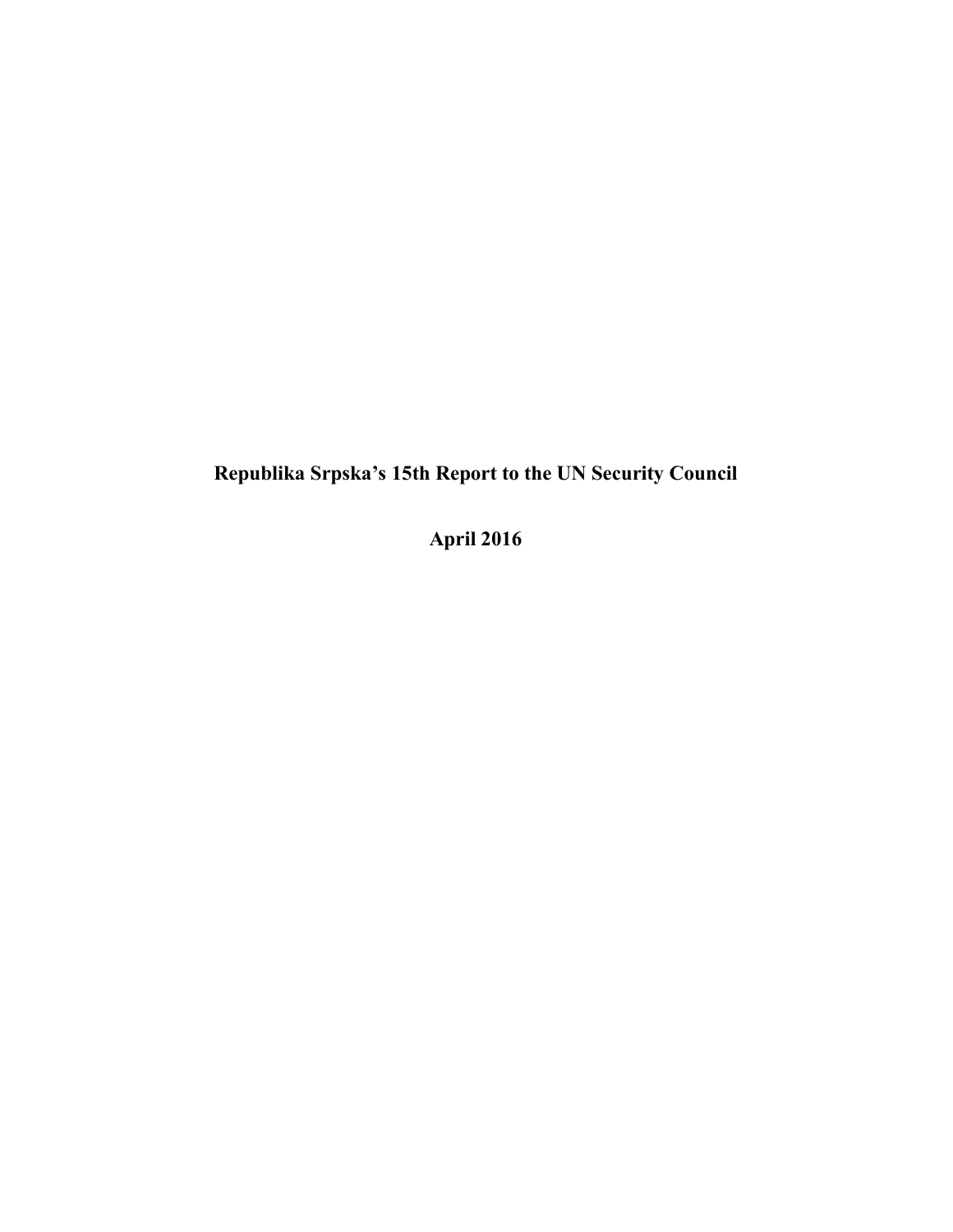**Republika Srpska's 15th Report to the UN Security Council**

**April 2016**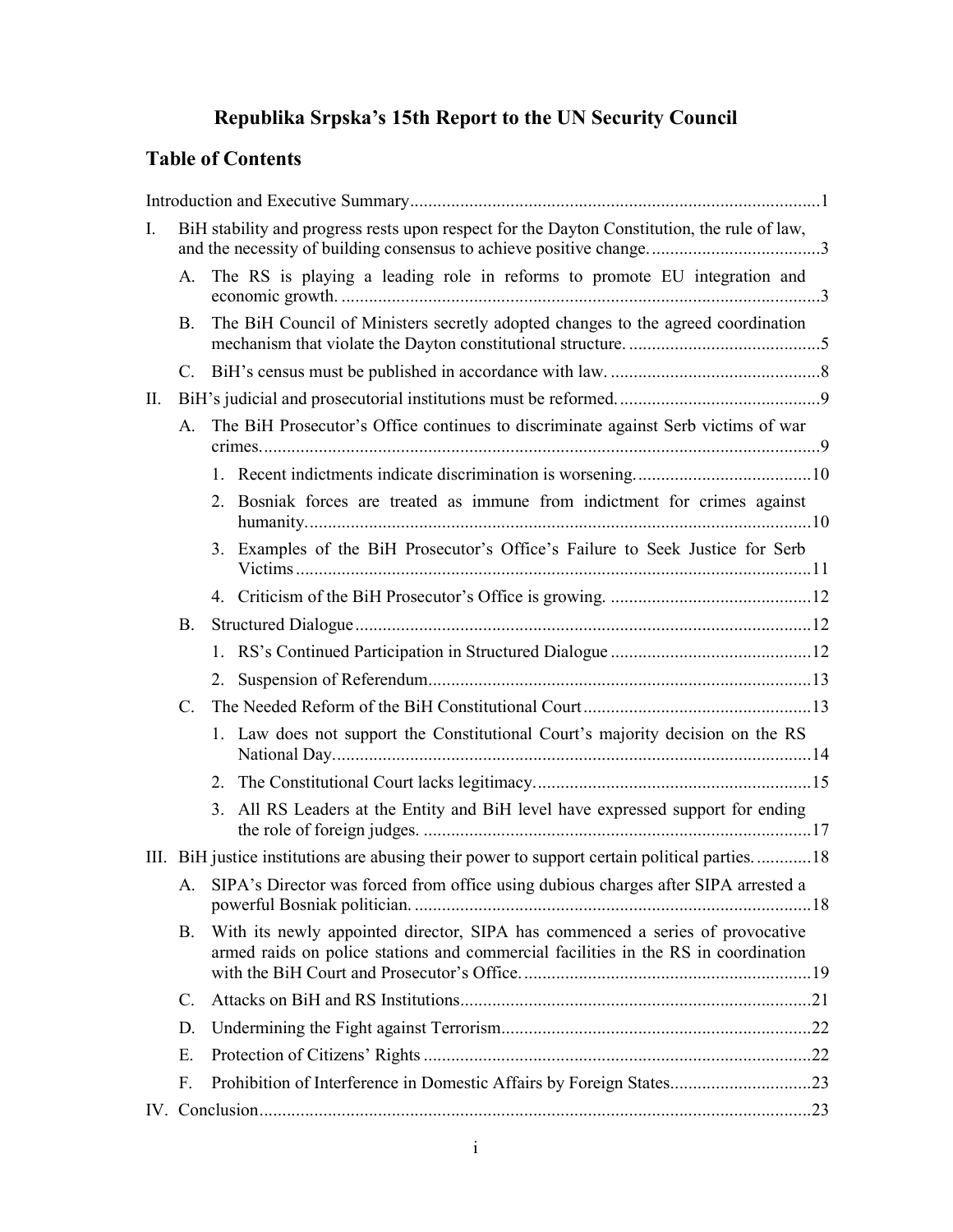# **Republika Srpska's 15th Report to the UN Security Council**

# **Table of Contents**

| $I_{\cdot}$ |           | BiH stability and progress rests upon respect for the Dayton Constitution, the rule of law,                                                                         |                                                                                              |  |  |  |
|-------------|-----------|---------------------------------------------------------------------------------------------------------------------------------------------------------------------|----------------------------------------------------------------------------------------------|--|--|--|
|             | А.        | The RS is playing a leading role in reforms to promote EU integration and                                                                                           |                                                                                              |  |  |  |
|             | Β.        |                                                                                                                                                                     | The BiH Council of Ministers secretly adopted changes to the agreed coordination             |  |  |  |
|             | C.        |                                                                                                                                                                     |                                                                                              |  |  |  |
| II.         |           |                                                                                                                                                                     |                                                                                              |  |  |  |
| A.          |           |                                                                                                                                                                     | The BiH Prosecutor's Office continues to discriminate against Serb victims of war            |  |  |  |
|             |           |                                                                                                                                                                     |                                                                                              |  |  |  |
|             |           |                                                                                                                                                                     | 2. Bosniak forces are treated as immune from indictment for crimes against                   |  |  |  |
|             |           |                                                                                                                                                                     | 3. Examples of the BiH Prosecutor's Office's Failure to Seek Justice for Serb                |  |  |  |
|             |           |                                                                                                                                                                     |                                                                                              |  |  |  |
| <b>B.</b>   |           |                                                                                                                                                                     |                                                                                              |  |  |  |
|             |           |                                                                                                                                                                     |                                                                                              |  |  |  |
|             |           |                                                                                                                                                                     |                                                                                              |  |  |  |
|             | C.        |                                                                                                                                                                     |                                                                                              |  |  |  |
|             |           |                                                                                                                                                                     | 1. Law does not support the Constitutional Court's majority decision on the RS               |  |  |  |
|             |           |                                                                                                                                                                     |                                                                                              |  |  |  |
|             |           | 3.                                                                                                                                                                  | All RS Leaders at the Entity and BiH level have expressed support for ending                 |  |  |  |
|             |           |                                                                                                                                                                     | III. BiH justice institutions are abusing their power to support certain political parties18 |  |  |  |
|             |           | A. SIPA's Director was forced from office using dubious charges after SIPA arrested a                                                                               |                                                                                              |  |  |  |
|             | <b>B.</b> | With its newly appointed director, SIPA has commenced a series of provocative<br>armed raids on police stations and commercial facilities in the RS in coordination |                                                                                              |  |  |  |
|             | C.        |                                                                                                                                                                     |                                                                                              |  |  |  |
|             | D.        |                                                                                                                                                                     |                                                                                              |  |  |  |
|             | Ε.        |                                                                                                                                                                     |                                                                                              |  |  |  |
|             | F.        |                                                                                                                                                                     |                                                                                              |  |  |  |
|             |           |                                                                                                                                                                     |                                                                                              |  |  |  |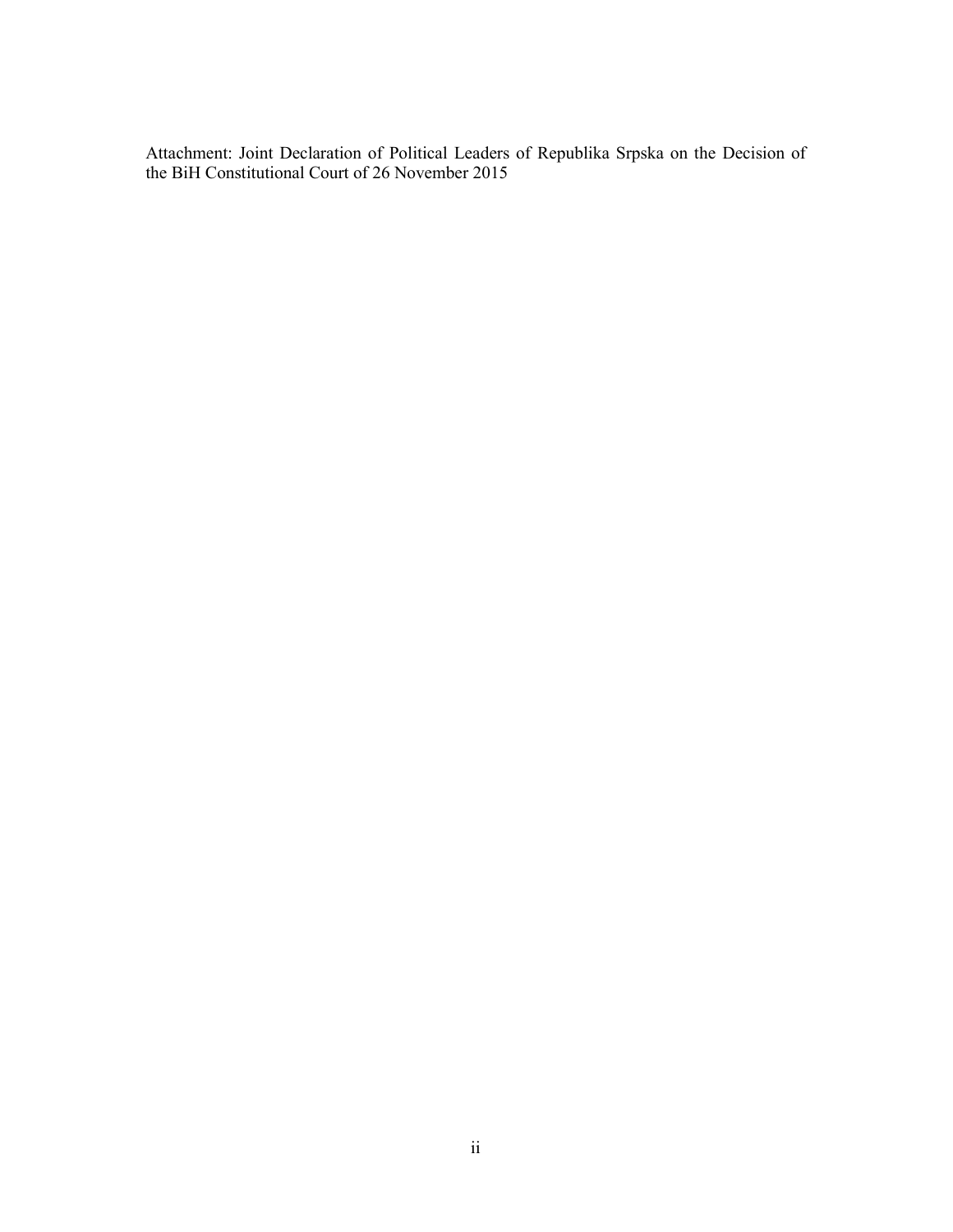Attachment: Joint Declaration of Political Leaders of Republika Srpska on the Decision of the BiH Constitutional Court of 26 November 2015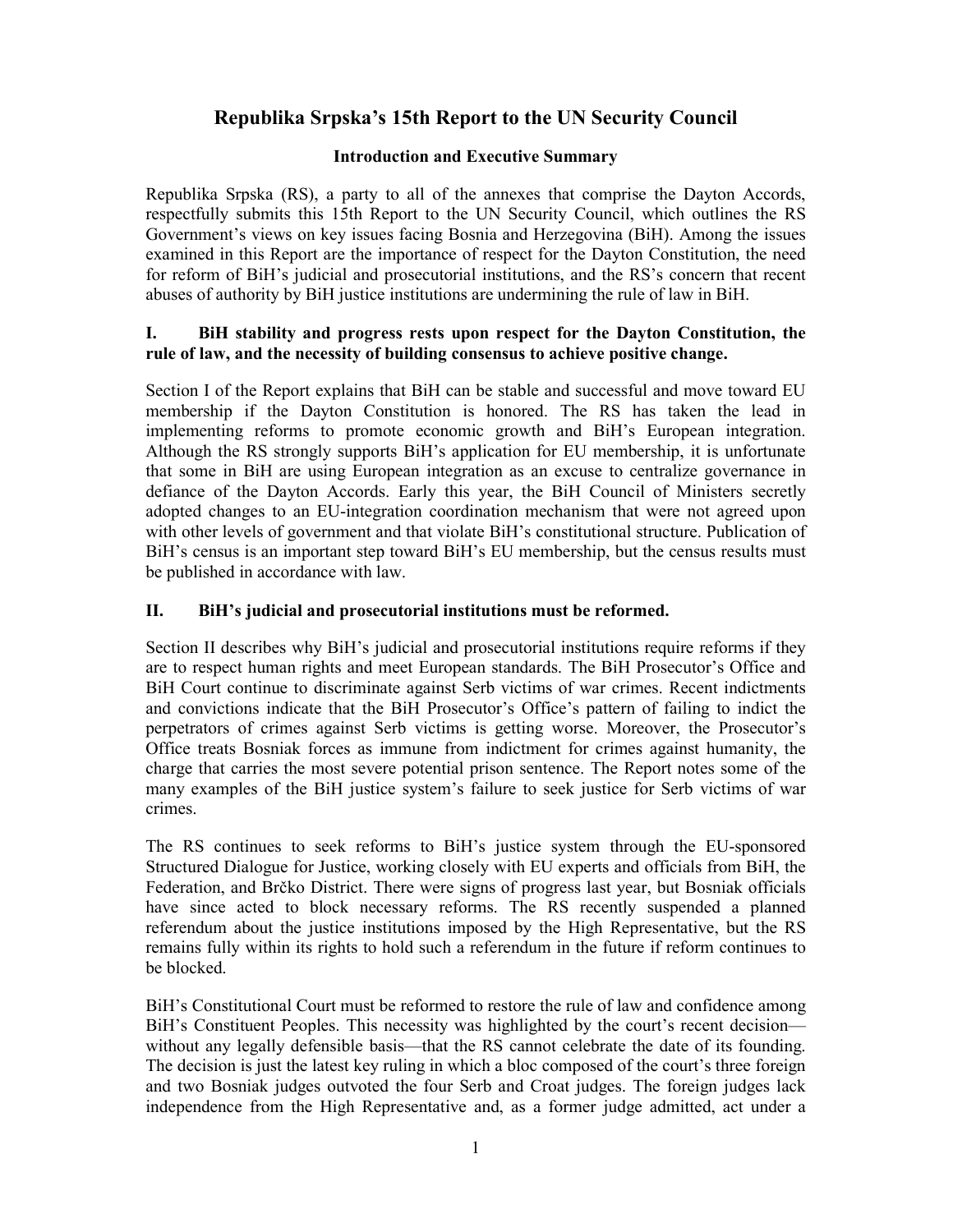## **Republika Srpska's 15th Report to the UN Security Council**

## **Introduction and Executive Summary**

Republika Srpska (RS), a party to all of the annexes that comprise the Dayton Accords, respectfully submits this 15th Report to the UN Security Council, which outlines the RS Government's views on key issues facing Bosnia and Herzegovina (BiH). Among the issues examined in this Report are the importance of respect for the Dayton Constitution, the need for reform of BiH's judicial and prosecutorial institutions, and the RS's concern that recent abuses of authority by BiH justice institutions are undermining the rule of law in BiH.

## **I. BiH stability and progress rests upon respect for the Dayton Constitution, the rule of law, and the necessity of building consensus to achieve positive change.**

Section I of the Report explains that BiH can be stable and successful and move toward EU membership if the Dayton Constitution is honored. The RS has taken the lead in implementing reforms to promote economic growth and BiH's European integration. Although the RS strongly supports BiH's application for EU membership, it is unfortunate that some in BiH are using European integration as an excuse to centralize governance in defiance of the Dayton Accords. Early this year, the BiH Council of Ministers secretly adopted changes to an EU-integration coordination mechanism that were not agreed upon with other levels of government and that violate BiH's constitutional structure. Publication of BiH's census is an important step toward BiH's EU membership, but the census results must be published in accordance with law.

## **II. BiH's judicial and prosecutorial institutions must be reformed.**

Section II describes why BiH's judicial and prosecutorial institutions require reforms if they are to respect human rights and meet European standards. The BiH Prosecutor's Office and BiH Court continue to discriminate against Serb victims of war crimes. Recent indictments and convictions indicate that the BiH Prosecutor's Office's pattern of failing to indict the perpetrators of crimes against Serb victims is getting worse. Moreover, the Prosecutor's Office treats Bosniak forces as immune from indictment for crimes against humanity, the charge that carries the most severe potential prison sentence. The Report notes some of the many examples of the BiH justice system's failure to seek justice for Serb victims of war crimes.

The RS continues to seek reforms to BiH's justice system through the EU-sponsored Structured Dialogue for Justice, working closely with EU experts and officials from BiH, the Federation, and Brčko District. There were signs of progress last year, but Bosniak officials have since acted to block necessary reforms. The RS recently suspended a planned referendum about the justice institutions imposed by the High Representative, but the RS remains fully within its rights to hold such a referendum in the future if reform continues to be blocked.

BiH's Constitutional Court must be reformed to restore the rule of law and confidence among BiH's Constituent Peoples. This necessity was highlighted by the court's recent decision without any legally defensible basis—that the RS cannot celebrate the date of its founding. The decision is just the latest key ruling in which a bloc composed of the court's three foreign and two Bosniak judges outvoted the four Serb and Croat judges. The foreign judges lack independence from the High Representative and, as a former judge admitted, act under a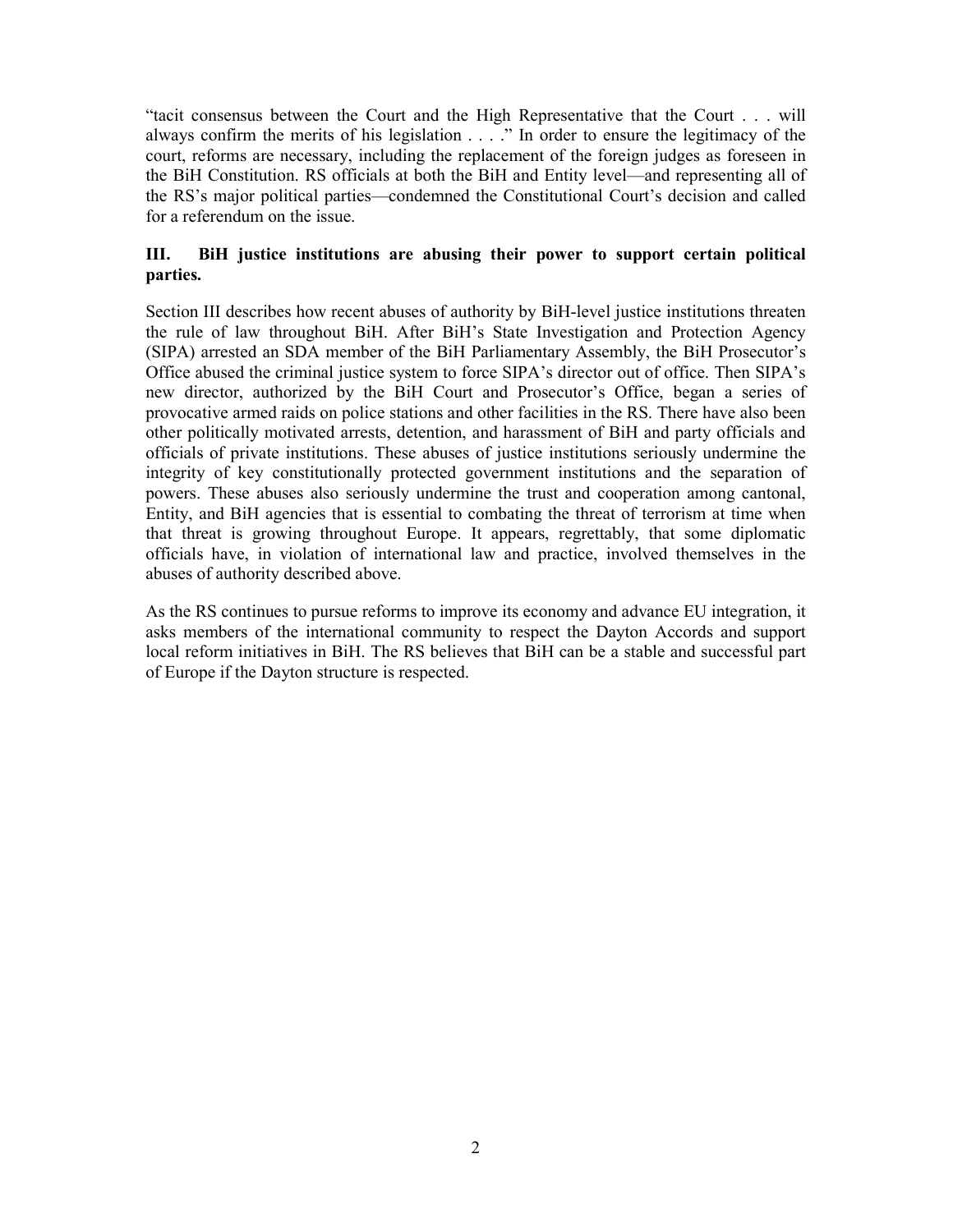"tacit consensus between the Court and the High Representative that the Court . . . will always confirm the merits of his legislation . . . ." In order to ensure the legitimacy of the court, reforms are necessary, including the replacement of the foreign judges as foreseen in the BiH Constitution. RS officials at both the BiH and Entity level—and representing all of the RS's major political parties—condemned the Constitutional Court's decision and called for a referendum on the issue.

## **III. BiH justice institutions are abusing their power to support certain political parties.**

Section III describes how recent abuses of authority by BiH-level justice institutions threaten the rule of law throughout BiH. After BiH's State Investigation and Protection Agency (SIPA) arrested an SDA member of the BiH Parliamentary Assembly, the BiH Prosecutor's Office abused the criminal justice system to force SIPA's director out of office. Then SIPA's new director, authorized by the BiH Court and Prosecutor's Office, began a series of provocative armed raids on police stations and other facilities in the RS. There have also been other politically motivated arrests, detention, and harassment of BiH and party officials and officials of private institutions. These abuses of justice institutions seriously undermine the integrity of key constitutionally protected government institutions and the separation of powers. These abuses also seriously undermine the trust and cooperation among cantonal, Entity, and BiH agencies that is essential to combating the threat of terrorism at time when that threat is growing throughout Europe. It appears, regrettably, that some diplomatic officials have, in violation of international law and practice, involved themselves in the abuses of authority described above.

As the RS continues to pursue reforms to improve its economy and advance EU integration, it asks members of the international community to respect the Dayton Accords and support local reform initiatives in BiH. The RS believes that BiH can be a stable and successful part of Europe if the Dayton structure is respected.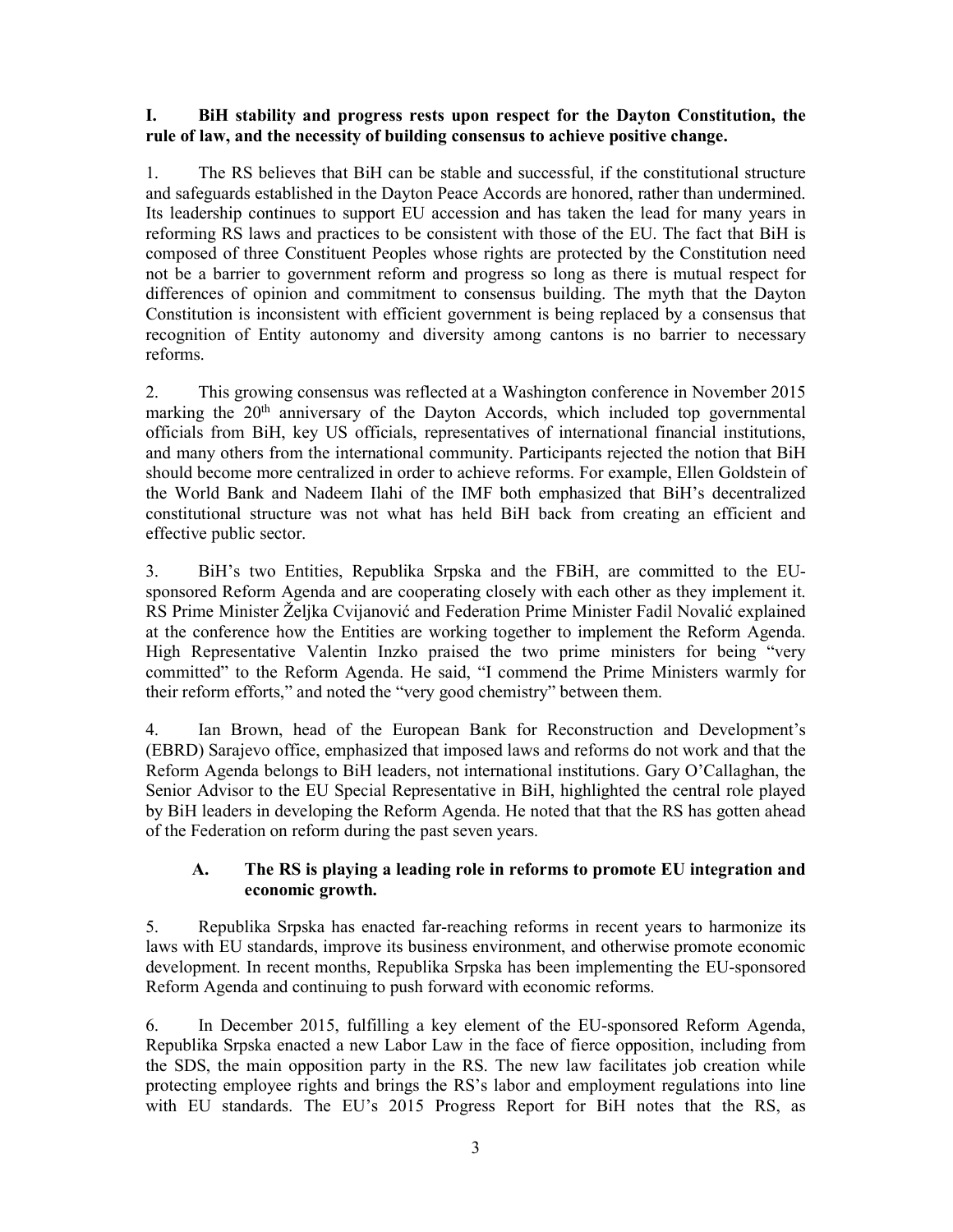#### **I. BiH stability and progress rests upon respect for the Dayton Constitution, the rule of law, and the necessity of building consensus to achieve positive change.**

1. The RS believes that BiH can be stable and successful, if the constitutional structure and safeguards established in the Dayton Peace Accords are honored, rather than undermined. Its leadership continues to support EU accession and has taken the lead for many years in reforming RS laws and practices to be consistent with those of the EU. The fact that BiH is composed of three Constituent Peoples whose rights are protected by the Constitution need not be a barrier to government reform and progress so long as there is mutual respect for differences of opinion and commitment to consensus building. The myth that the Dayton Constitution is inconsistent with efficient government is being replaced by a consensus that recognition of Entity autonomy and diversity among cantons is no barrier to necessary reforms.

2. This growing consensus was reflected at a Washington conference in November 2015 marking the 20<sup>th</sup> anniversary of the Dayton Accords, which included top governmental officials from BiH, key US officials, representatives of international financial institutions, and many others from the international community. Participants rejected the notion that BiH should become more centralized in order to achieve reforms. For example, Ellen Goldstein of the World Bank and Nadeem Ilahi of the IMF both emphasized that BiH's decentralized constitutional structure was not what has held BiH back from creating an efficient and effective public sector.

3. BiH's two Entities, Republika Srpska and the FBiH, are committed to the EUsponsored Reform Agenda and are cooperating closely with each other as they implement it. RS Prime Minister Željka Cvijanović and Federation Prime Minister Fadil Novalić explained at the conference how the Entities are working together to implement the Reform Agenda. High Representative Valentin Inzko praised the two prime ministers for being "very committed" to the Reform Agenda. He said, "I commend the Prime Ministers warmly for their reform efforts," and noted the "very good chemistry" between them.

4. Ian Brown, head of the European Bank for Reconstruction and Development's (EBRD) Sarajevo office, emphasized that imposed laws and reforms do not work and that the Reform Agenda belongs to BiH leaders, not international institutions. Gary O'Callaghan, the Senior Advisor to the EU Special Representative in BiH, highlighted the central role played by BiH leaders in developing the Reform Agenda. He noted that that the RS has gotten ahead of the Federation on reform during the past seven years.

#### **A. The RS is playing a leading role in reforms to promote EU integration and economic growth.**

5. Republika Srpska has enacted far-reaching reforms in recent years to harmonize its laws with EU standards, improve its business environment, and otherwise promote economic development. In recent months, Republika Srpska has been implementing the EU-sponsored Reform Agenda and continuing to push forward with economic reforms.

6. In December 2015, fulfilling a key element of the EU-sponsored Reform Agenda, Republika Srpska enacted a new Labor Law in the face of fierce opposition, including from the SDS, the main opposition party in the RS. The new law facilitates job creation while protecting employee rights and brings the RS's labor and employment regulations into line with EU standards. The EU's 2015 Progress Report for BiH notes that the RS, as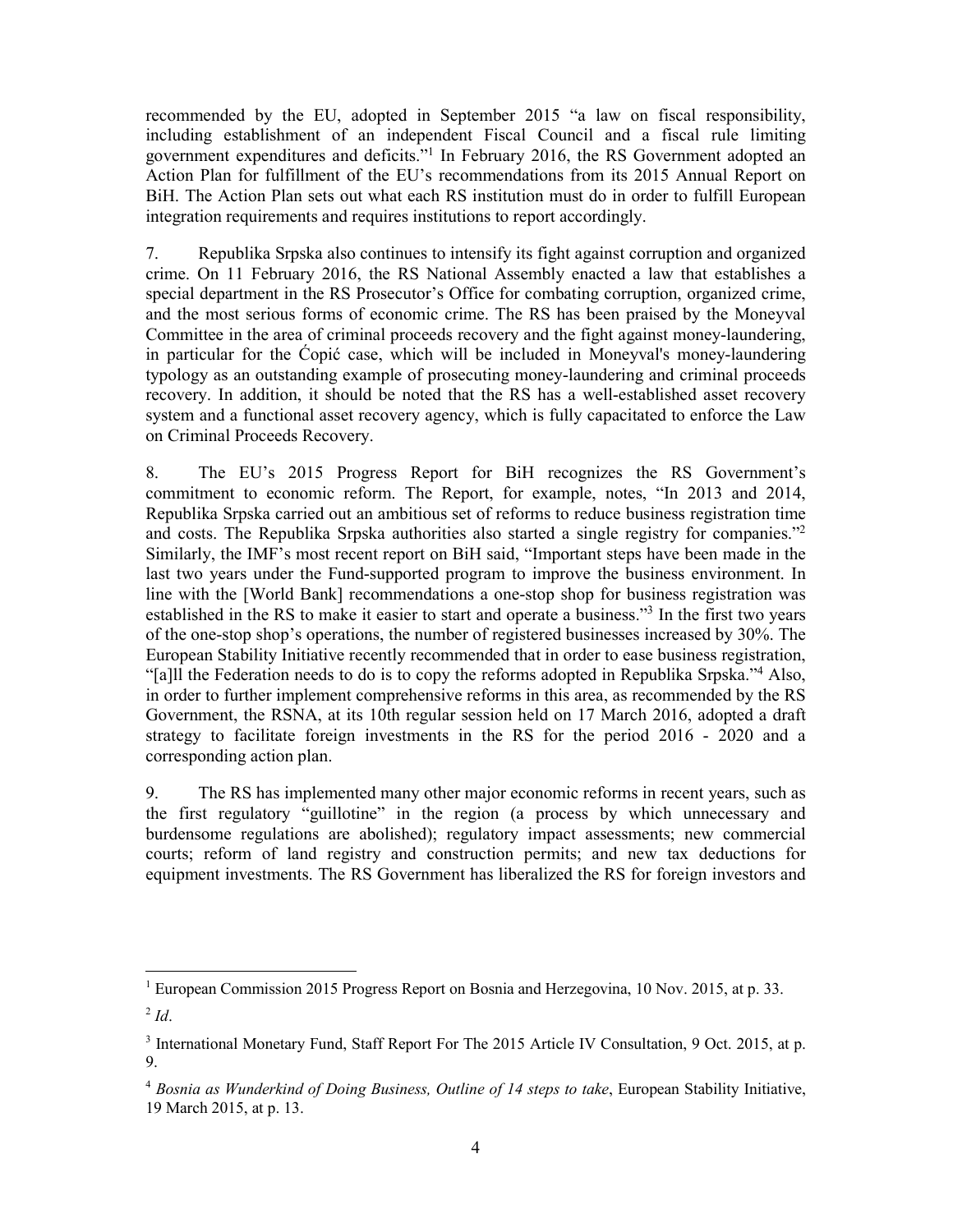recommended by the EU, adopted in September 2015 "a law on fiscal responsibility, including establishment of an independent Fiscal Council and a fiscal rule limiting government expenditures and deficits."1 In February 2016, the RS Government adopted an Action Plan for fulfillment of the EU's recommendations from its 2015 Annual Report on BiH. The Action Plan sets out what each RS institution must do in order to fulfill European integration requirements and requires institutions to report accordingly.

7. Republika Srpska also continues to intensify its fight against corruption and organized crime. On 11 February 2016, the RS National Assembly enacted a law that establishes a special department in the RS Prosecutor's Office for combating corruption, organized crime, and the most serious forms of economic crime. The RS has been praised by the Moneyval Committee in the area of criminal proceeds recovery and the fight against money-laundering, in particular for the Ćopić case, which will be included in Moneyval's money-laundering typology as an outstanding example of prosecuting money-laundering and criminal proceeds recovery. In addition, it should be noted that the RS has a well-established asset recovery system and a functional asset recovery agency, which is fully capacitated to enforce the Law on Criminal Proceeds Recovery.

8. The EU's 2015 Progress Report for BiH recognizes the RS Government's commitment to economic reform. The Report, for example, notes, "In 2013 and 2014, Republika Srpska carried out an ambitious set of reforms to reduce business registration time and costs. The Republika Srpska authorities also started a single registry for companies."2 Similarly, the IMF's most recent report on BiH said, "Important steps have been made in the last two years under the Fund-supported program to improve the business environment. In line with the [World Bank] recommendations a one-stop shop for business registration was established in the RS to make it easier to start and operate a business."<sup>3</sup> In the first two years of the one-stop shop's operations, the number of registered businesses increased by 30%. The European Stability Initiative recently recommended that in order to ease business registration, "[a]ll the Federation needs to do is to copy the reforms adopted in Republika Srpska."4 Also, in order to further implement comprehensive reforms in this area, as recommended by the RS Government, the RSNA, at its 10th regular session held on 17 March 2016, adopted a draft strategy to facilitate foreign investments in the RS for the period 2016 - 2020 and a corresponding action plan.

9. The RS has implemented many other major economic reforms in recent years, such as the first regulatory "guillotine" in the region (a process by which unnecessary and burdensome regulations are abolished); regulatory impact assessments; new commercial courts; reform of land registry and construction permits; and new tax deductions for equipment investments. The RS Government has liberalized the RS for foreign investors and

<sup>&</sup>lt;sup>1</sup> European Commission 2015 Progress Report on Bosnia and Herzegovina, 10 Nov. 2015, at p. 33.

 $^{2}$  *Id.* 

<sup>&</sup>lt;sup>3</sup> International Monetary Fund, Staff Report For The 2015 Article IV Consultation, 9 Oct. 2015, at p. 9.

<sup>4</sup> *Bosnia as Wunderkind of Doing Business, Outline of 14 steps to take*, European Stability Initiative, 19 March 2015, at p. 13.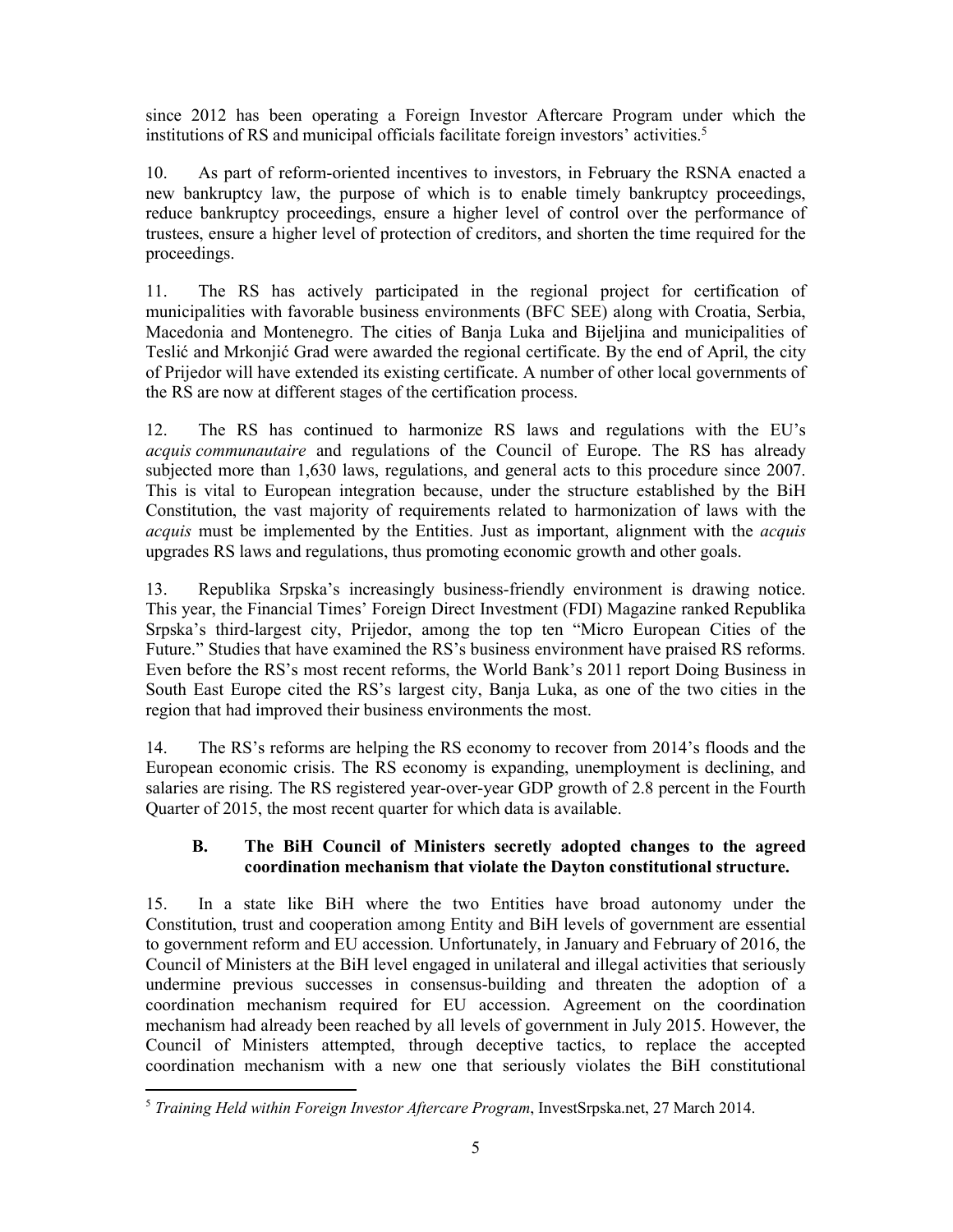since 2012 has been operating a Foreign Investor Aftercare Program under which the institutions of RS and municipal officials facilitate foreign investors' activities.5

10. As part of reform-oriented incentives to investors, in February the RSNA enacted a new bankruptcy law, the purpose of which is to enable timely bankruptcy proceedings, reduce bankruptcy proceedings, ensure a higher level of control over the performance of trustees, ensure a higher level of protection of creditors, and shorten the time required for the proceedings.

11. The RS has actively participated in the regional project for certification of municipalities with favorable business environments (BFC SEE) along with Croatia, Serbia, Macedonia and Montenegro. The cities of Banja Luka and Bijeljina and municipalities of Teslić and Mrkonjić Grad were awarded the regional certificate. By the end of April, the city of Prijedor will have extended its existing certificate. A number of other local governments of the RS are now at different stages of the certification process.

12. The RS has continued to harmonize RS laws and regulations with the EU's *acquis communautaire* and regulations of the Council of Europe. The RS has already subjected more than 1,630 laws, regulations, and general acts to this procedure since 2007. This is vital to European integration because, under the structure established by the BiH Constitution, the vast majority of requirements related to harmonization of laws with the *acquis* must be implemented by the Entities. Just as important, alignment with the *acquis* upgrades RS laws and regulations, thus promoting economic growth and other goals.

13. Republika Srpska's increasingly business-friendly environment is drawing notice. This year, the Financial Times' Foreign Direct Investment (FDI) Magazine ranked Republika Srpska's third-largest city, Prijedor, among the top ten "Micro European Cities of the Future." Studies that have examined the RS's business environment have praised RS reforms. Even before the RS's most recent reforms, the World Bank's 2011 report Doing Business in South East Europe cited the RS's largest city, Banja Luka, as one of the two cities in the region that had improved their business environments the most.

14. The RS's reforms are helping the RS economy to recover from 2014's floods and the European economic crisis. The RS economy is expanding, unemployment is declining, and salaries are rising. The RS registered year-over-year GDP growth of 2.8 percent in the Fourth Quarter of 2015, the most recent quarter for which data is available.

## **B. The BiH Council of Ministers secretly adopted changes to the agreed coordination mechanism that violate the Dayton constitutional structure.**

15. In a state like BiH where the two Entities have broad autonomy under the Constitution, trust and cooperation among Entity and BiH levels of government are essential to government reform and EU accession. Unfortunately, in January and February of 2016, the Council of Ministers at the BiH level engaged in unilateral and illegal activities that seriously undermine previous successes in consensus-building and threaten the adoption of a coordination mechanism required for EU accession. Agreement on the coordination mechanism had already been reached by all levels of government in July 2015. However, the Council of Ministers attempted, through deceptive tactics, to replace the accepted coordination mechanism with a new one that seriously violates the BiH constitutional

 <sup>5</sup> *Training Held within Foreign Investor Aftercare Program*, InvestSrpska.net, 27 March 2014.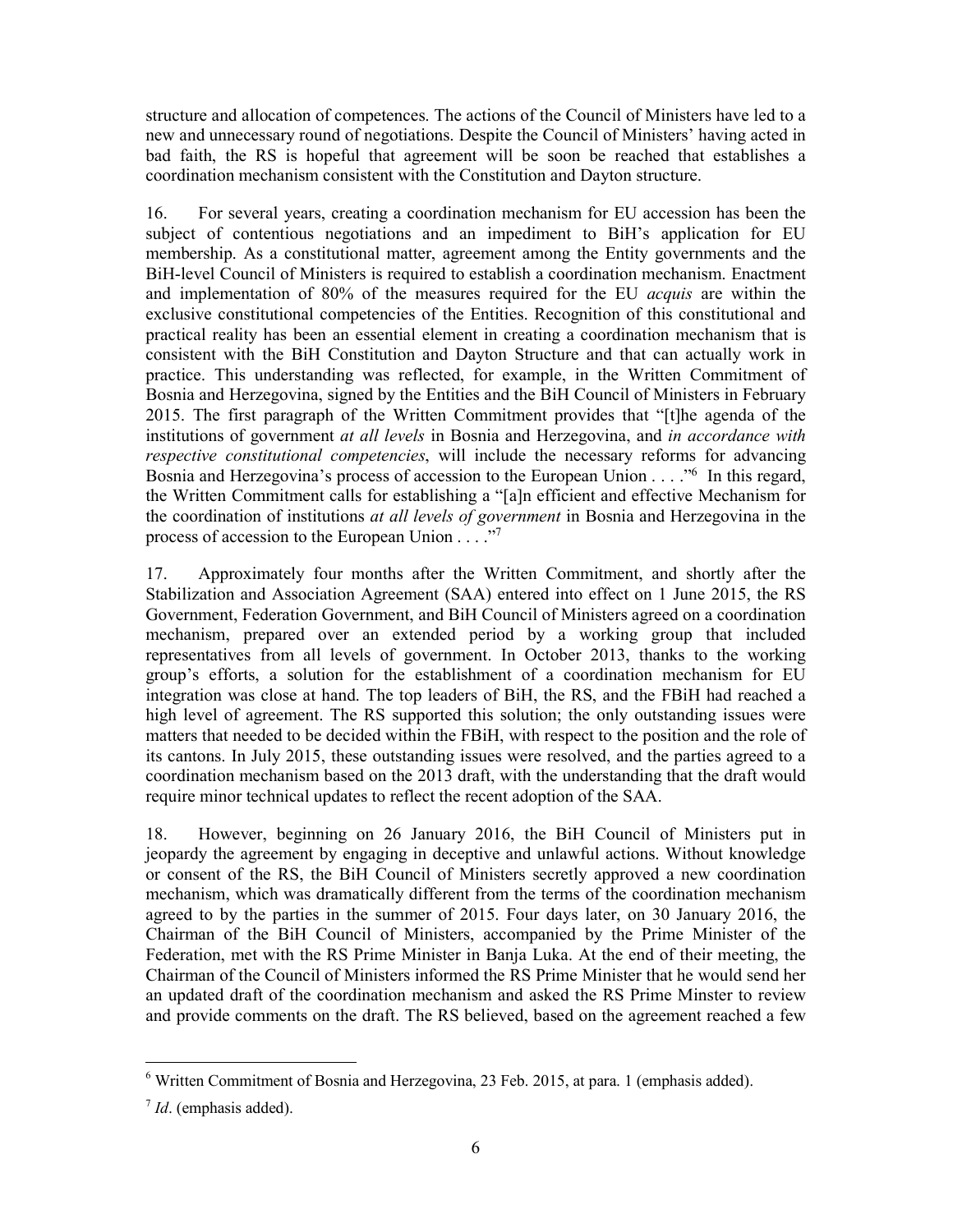structure and allocation of competences. The actions of the Council of Ministers have led to a new and unnecessary round of negotiations. Despite the Council of Ministers' having acted in bad faith, the RS is hopeful that agreement will be soon be reached that establishes a coordination mechanism consistent with the Constitution and Dayton structure.

16. For several years, creating a coordination mechanism for EU accession has been the subject of contentious negotiations and an impediment to BiH's application for EU membership. As a constitutional matter, agreement among the Entity governments and the BiH-level Council of Ministers is required to establish a coordination mechanism. Enactment and implementation of 80% of the measures required for the EU *acquis* are within the exclusive constitutional competencies of the Entities. Recognition of this constitutional and practical reality has been an essential element in creating a coordination mechanism that is consistent with the BiH Constitution and Dayton Structure and that can actually work in practice. This understanding was reflected, for example, in the Written Commitment of Bosnia and Herzegovina, signed by the Entities and the BiH Council of Ministers in February 2015. The first paragraph of the Written Commitment provides that "[t]he agenda of the institutions of government *at all levels* in Bosnia and Herzegovina, and *in accordance with respective constitutional competencies*, will include the necessary reforms for advancing Bosnia and Herzegovina's process of accession to the European Union . . . . . "<sup>6</sup> In this regard, the Written Commitment calls for establishing a "[a]n efficient and effective Mechanism for the coordination of institutions *at all levels of government* in Bosnia and Herzegovina in the process of accession to the European Union . . . ."7

17. Approximately four months after the Written Commitment, and shortly after the Stabilization and Association Agreement (SAA) entered into effect on 1 June 2015, the RS Government, Federation Government, and BiH Council of Ministers agreed on a coordination mechanism, prepared over an extended period by a working group that included representatives from all levels of government. In October 2013, thanks to the working group's efforts, a solution for the establishment of a coordination mechanism for EU integration was close at hand. The top leaders of BiH, the RS, and the FBiH had reached a high level of agreement. The RS supported this solution; the only outstanding issues were matters that needed to be decided within the FBiH, with respect to the position and the role of its cantons. In July 2015, these outstanding issues were resolved, and the parties agreed to a coordination mechanism based on the 2013 draft, with the understanding that the draft would require minor technical updates to reflect the recent adoption of the SAA.

18. However, beginning on 26 January 2016, the BiH Council of Ministers put in jeopardy the agreement by engaging in deceptive and unlawful actions. Without knowledge or consent of the RS, the BiH Council of Ministers secretly approved a new coordination mechanism, which was dramatically different from the terms of the coordination mechanism agreed to by the parties in the summer of 2015. Four days later, on 30 January 2016, the Chairman of the BiH Council of Ministers, accompanied by the Prime Minister of the Federation, met with the RS Prime Minister in Banja Luka. At the end of their meeting, the Chairman of the Council of Ministers informed the RS Prime Minister that he would send her an updated draft of the coordination mechanism and asked the RS Prime Minster to review and provide comments on the draft. The RS believed, based on the agreement reached a few

 <sup>6</sup> Written Commitment of Bosnia and Herzegovina, 23 Feb. 2015, at para. 1 (emphasis added).

<sup>7</sup> *Id*. (emphasis added).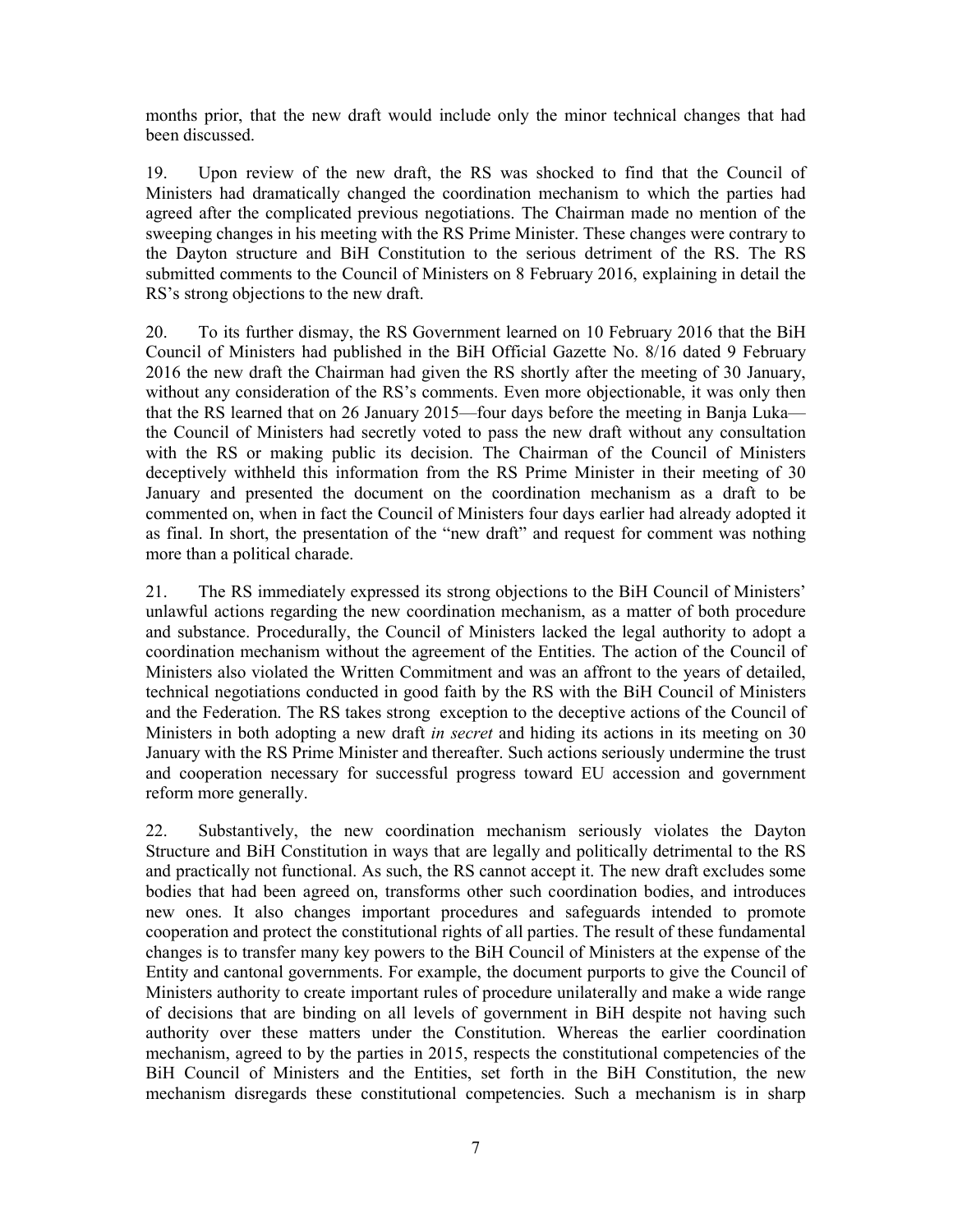months prior, that the new draft would include only the minor technical changes that had been discussed.

19. Upon review of the new draft, the RS was shocked to find that the Council of Ministers had dramatically changed the coordination mechanism to which the parties had agreed after the complicated previous negotiations. The Chairman made no mention of the sweeping changes in his meeting with the RS Prime Minister. These changes were contrary to the Dayton structure and BiH Constitution to the serious detriment of the RS. The RS submitted comments to the Council of Ministers on 8 February 2016, explaining in detail the RS's strong objections to the new draft.

20. To its further dismay, the RS Government learned on 10 February 2016 that the BiH Council of Ministers had published in the BiH Official Gazette No. 8/16 dated 9 February 2016 the new draft the Chairman had given the RS shortly after the meeting of 30 January, without any consideration of the RS's comments. Even more objectionable, it was only then that the RS learned that on 26 January 2015—four days before the meeting in Banja Luka the Council of Ministers had secretly voted to pass the new draft without any consultation with the RS or making public its decision. The Chairman of the Council of Ministers deceptively withheld this information from the RS Prime Minister in their meeting of 30 January and presented the document on the coordination mechanism as a draft to be commented on, when in fact the Council of Ministers four days earlier had already adopted it as final. In short, the presentation of the "new draft" and request for comment was nothing more than a political charade.

21. The RS immediately expressed its strong objections to the BiH Council of Ministers' unlawful actions regarding the new coordination mechanism, as a matter of both procedure and substance. Procedurally, the Council of Ministers lacked the legal authority to adopt a coordination mechanism without the agreement of the Entities. The action of the Council of Ministers also violated the Written Commitment and was an affront to the years of detailed, technical negotiations conducted in good faith by the RS with the BiH Council of Ministers and the Federation. The RS takes strong exception to the deceptive actions of the Council of Ministers in both adopting a new draft *in secret* and hiding its actions in its meeting on 30 January with the RS Prime Minister and thereafter. Such actions seriously undermine the trust and cooperation necessary for successful progress toward EU accession and government reform more generally.

22. Substantively, the new coordination mechanism seriously violates the Dayton Structure and BiH Constitution in ways that are legally and politically detrimental to the RS and practically not functional. As such, the RS cannot accept it. The new draft excludes some bodies that had been agreed on, transforms other such coordination bodies, and introduces new ones. It also changes important procedures and safeguards intended to promote cooperation and protect the constitutional rights of all parties. The result of these fundamental changes is to transfer many key powers to the BiH Council of Ministers at the expense of the Entity and cantonal governments. For example, the document purports to give the Council of Ministers authority to create important rules of procedure unilaterally and make a wide range of decisions that are binding on all levels of government in BiH despite not having such authority over these matters under the Constitution. Whereas the earlier coordination mechanism, agreed to by the parties in 2015, respects the constitutional competencies of the BiH Council of Ministers and the Entities, set forth in the BiH Constitution, the new mechanism disregards these constitutional competencies. Such a mechanism is in sharp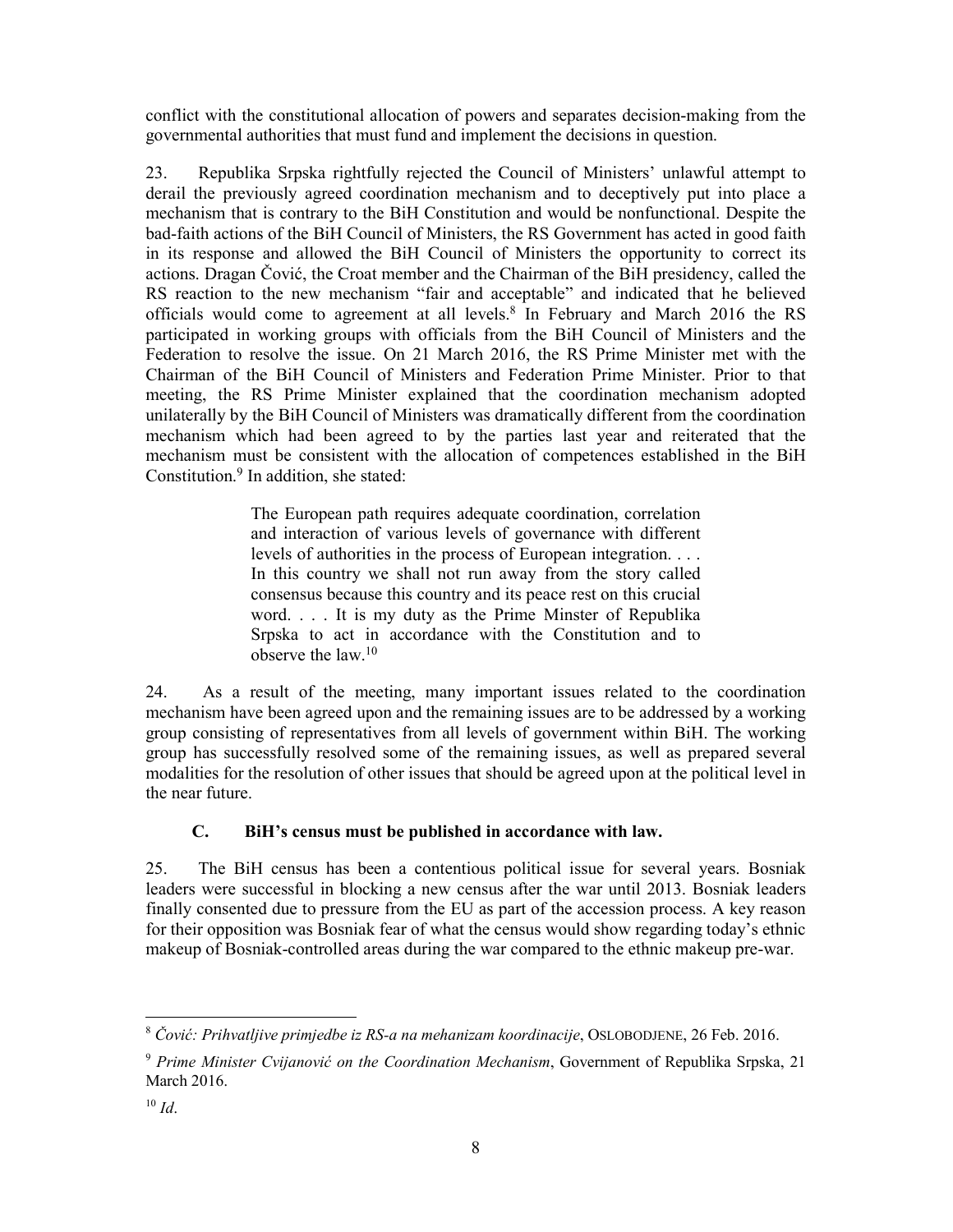conflict with the constitutional allocation of powers and separates decision-making from the governmental authorities that must fund and implement the decisions in question.

23. Republika Srpska rightfully rejected the Council of Ministers' unlawful attempt to derail the previously agreed coordination mechanism and to deceptively put into place a mechanism that is contrary to the BiH Constitution and would be nonfunctional. Despite the bad-faith actions of the BiH Council of Ministers, the RS Government has acted in good faith in its response and allowed the BiH Council of Ministers the opportunity to correct its actions. Dragan Čović, the Croat member and the Chairman of the BiH presidency, called the RS reaction to the new mechanism "fair and acceptable" and indicated that he believed officials would come to agreement at all levels.<sup>8</sup> In February and March 2016 the RS participated in working groups with officials from the BiH Council of Ministers and the Federation to resolve the issue. On 21 March 2016, the RS Prime Minister met with the Chairman of the BiH Council of Ministers and Federation Prime Minister. Prior to that meeting, the RS Prime Minister explained that the coordination mechanism adopted unilaterally by the BiH Council of Ministers was dramatically different from the coordination mechanism which had been agreed to by the parties last year and reiterated that the mechanism must be consistent with the allocation of competences established in the BiH Constitution.<sup>9</sup> In addition, she stated:

> The European path requires adequate coordination, correlation and interaction of various levels of governance with different levels of authorities in the process of European integration. . . . In this country we shall not run away from the story called consensus because this country and its peace rest on this crucial word. . . . It is my duty as the Prime Minster of Republika Srpska to act in accordance with the Constitution and to observe the law  $10$

24. As a result of the meeting, many important issues related to the coordination mechanism have been agreed upon and the remaining issues are to be addressed by a working group consisting of representatives from all levels of government within BiH. The working group has successfully resolved some of the remaining issues, as well as prepared several modalities for the resolution of other issues that should be agreed upon at the political level in the near future.

## **C. BiH's census must be published in accordance with law.**

25. The BiH census has been a contentious political issue for several years. Bosniak leaders were successful in blocking a new census after the war until 2013. Bosniak leaders finally consented due to pressure from the EU as part of the accession process. A key reason for their opposition was Bosniak fear of what the census would show regarding today's ethnic makeup of Bosniak-controlled areas during the war compared to the ethnic makeup pre-war.

 <sup>8</sup> *Čović: Prihvatljive primjedbe iz RS-a na mehanizam koordinacije*, OSLOBODJENE, 26 Feb. 2016.

<sup>9</sup> *Prime Minister Cvijanović on the Coordination Mechanism*, Government of Republika Srpska, 21 March 2016.

 $10 \, Id.$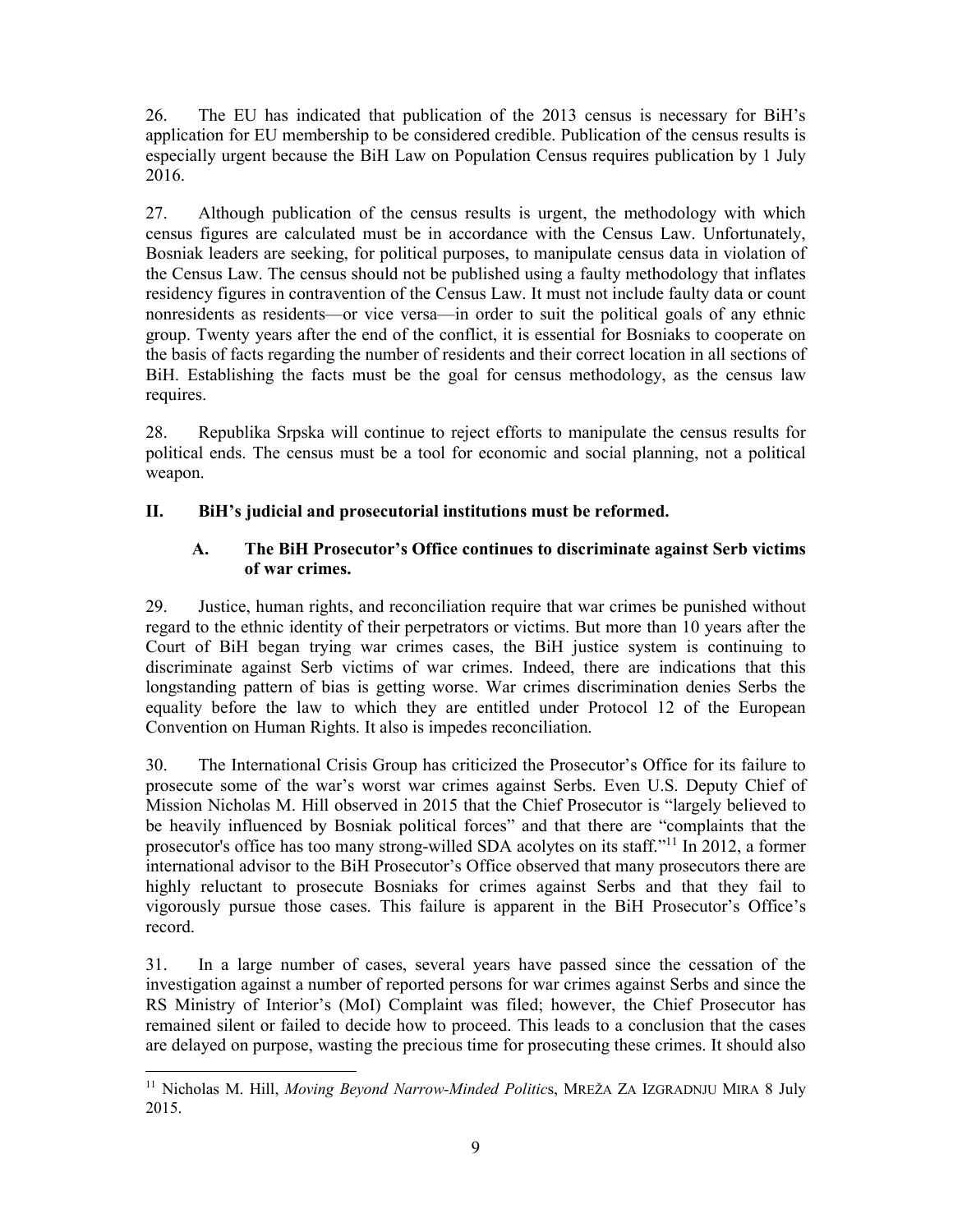26. The EU has indicated that publication of the 2013 census is necessary for BiH's application for EU membership to be considered credible. Publication of the census results is especially urgent because the BiH Law on Population Census requires publication by 1 July 2016.

27. Although publication of the census results is urgent, the methodology with which census figures are calculated must be in accordance with the Census Law. Unfortunately, Bosniak leaders are seeking, for political purposes, to manipulate census data in violation of the Census Law. The census should not be published using a faulty methodology that inflates residency figures in contravention of the Census Law. It must not include faulty data or count nonresidents as residents—or vice versa—in order to suit the political goals of any ethnic group. Twenty years after the end of the conflict, it is essential for Bosniaks to cooperate on the basis of facts regarding the number of residents and their correct location in all sections of BiH. Establishing the facts must be the goal for census methodology, as the census law requires.

28. Republika Srpska will continue to reject efforts to manipulate the census results for political ends. The census must be a tool for economic and social planning, not a political weapon.

## **II. BiH's judicial and prosecutorial institutions must be reformed.**

## **A. The BiH Prosecutor's Office continues to discriminate against Serb victims of war crimes.**

29. Justice, human rights, and reconciliation require that war crimes be punished without regard to the ethnic identity of their perpetrators or victims. But more than 10 years after the Court of BiH began trying war crimes cases, the BiH justice system is continuing to discriminate against Serb victims of war crimes. Indeed, there are indications that this longstanding pattern of bias is getting worse. War crimes discrimination denies Serbs the equality before the law to which they are entitled under Protocol 12 of the European Convention on Human Rights. It also is impedes reconciliation.

30. The International Crisis Group has criticized the Prosecutor's Office for its failure to prosecute some of the war's worst war crimes against Serbs. Even U.S. Deputy Chief of Mission Nicholas M. Hill observed in 2015 that the Chief Prosecutor is "largely believed to be heavily influenced by Bosniak political forces" and that there are "complaints that the prosecutor's office has too many strong-willed SDA acolytes on its staff."11 In 2012, a former international advisor to the BiH Prosecutor's Office observed that many prosecutors there are highly reluctant to prosecute Bosniaks for crimes against Serbs and that they fail to vigorously pursue those cases. This failure is apparent in the BiH Prosecutor's Office's record.

31. In a large number of cases, several years have passed since the cessation of the investigation against a number of reported persons for war crimes against Serbs and since the RS Ministry of Interior's (MoI) Complaint was filed; however, the Chief Prosecutor has remained silent or failed to decide how to proceed. This leads to a conclusion that the cases are delayed on purpose, wasting the precious time for prosecuting these crimes. It should also

 <sup>11</sup> Nicholas M. Hill, *Moving Beyond Narrow-Minded Politic*s, MREŽA ZA IZGRADNJU MIRA 8 July 2015.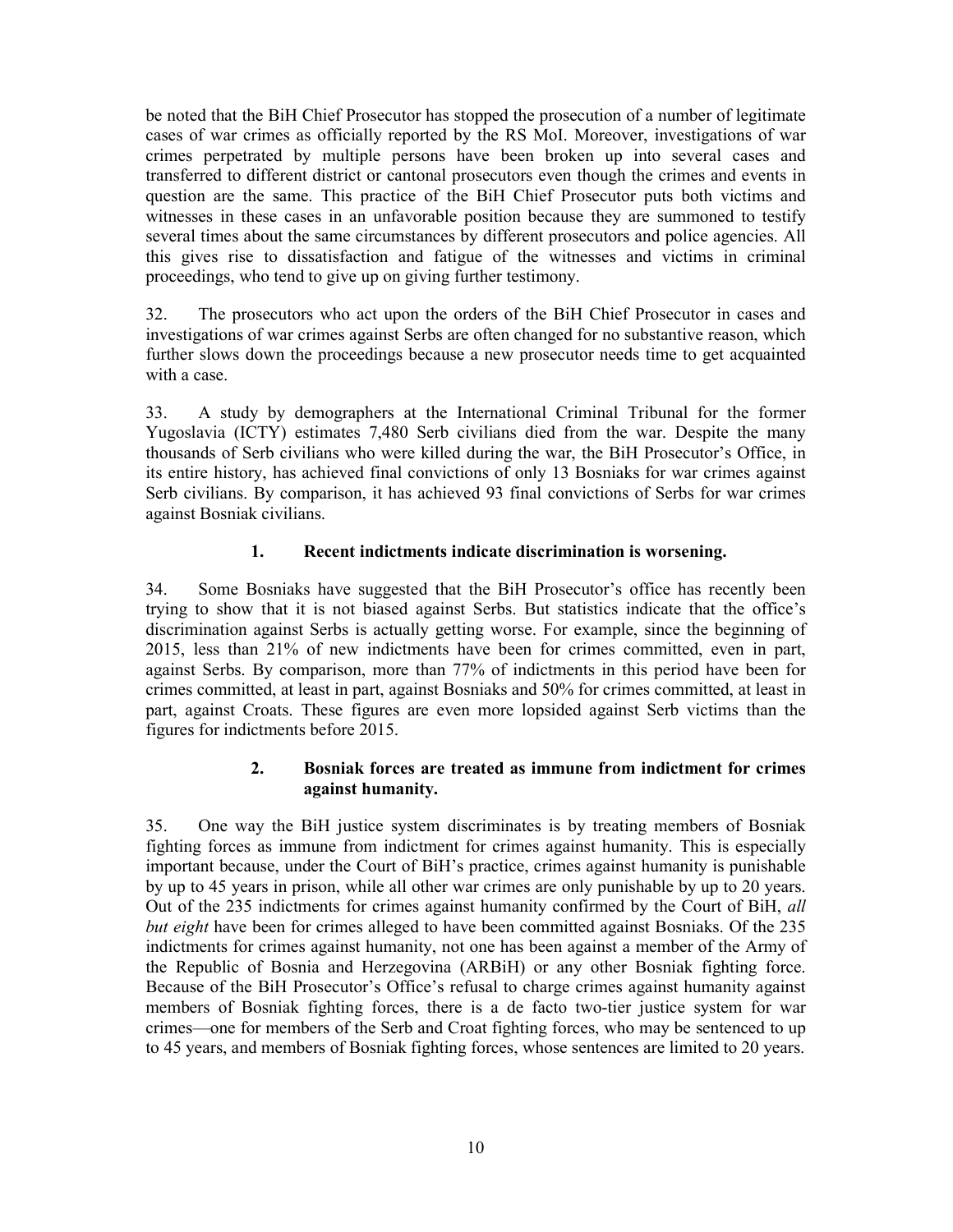be noted that the BiH Chief Prosecutor has stopped the prosecution of a number of legitimate cases of war crimes as officially reported by the RS MoI. Moreover, investigations of war crimes perpetrated by multiple persons have been broken up into several cases and transferred to different district or cantonal prosecutors even though the crimes and events in question are the same. This practice of the BiH Chief Prosecutor puts both victims and witnesses in these cases in an unfavorable position because they are summoned to testify several times about the same circumstances by different prosecutors and police agencies. All this gives rise to dissatisfaction and fatigue of the witnesses and victims in criminal proceedings, who tend to give up on giving further testimony.

32. The prosecutors who act upon the orders of the BiH Chief Prosecutor in cases and investigations of war crimes against Serbs are often changed for no substantive reason, which further slows down the proceedings because a new prosecutor needs time to get acquainted with a case.

33. A study by demographers at the International Criminal Tribunal for the former Yugoslavia (ICTY) estimates 7,480 Serb civilians died from the war. Despite the many thousands of Serb civilians who were killed during the war, the BiH Prosecutor's Office, in its entire history, has achieved final convictions of only 13 Bosniaks for war crimes against Serb civilians. By comparison, it has achieved 93 final convictions of Serbs for war crimes against Bosniak civilians.

## **1. Recent indictments indicate discrimination is worsening.**

34. Some Bosniaks have suggested that the BiH Prosecutor's office has recently been trying to show that it is not biased against Serbs. But statistics indicate that the office's discrimination against Serbs is actually getting worse. For example, since the beginning of 2015, less than 21% of new indictments have been for crimes committed, even in part, against Serbs. By comparison, more than 77% of indictments in this period have been for crimes committed, at least in part, against Bosniaks and 50% for crimes committed, at least in part, against Croats. These figures are even more lopsided against Serb victims than the figures for indictments before 2015.

#### **2. Bosniak forces are treated as immune from indictment for crimes against humanity.**

35. One way the BiH justice system discriminates is by treating members of Bosniak fighting forces as immune from indictment for crimes against humanity. This is especially important because, under the Court of BiH's practice, crimes against humanity is punishable by up to 45 years in prison, while all other war crimes are only punishable by up to 20 years. Out of the 235 indictments for crimes against humanity confirmed by the Court of BiH, *all but eight* have been for crimes alleged to have been committed against Bosniaks. Of the 235 indictments for crimes against humanity, not one has been against a member of the Army of the Republic of Bosnia and Herzegovina (ARBiH) or any other Bosniak fighting force. Because of the BiH Prosecutor's Office's refusal to charge crimes against humanity against members of Bosniak fighting forces, there is a de facto two-tier justice system for war crimes—one for members of the Serb and Croat fighting forces, who may be sentenced to up to 45 years, and members of Bosniak fighting forces, whose sentences are limited to 20 years.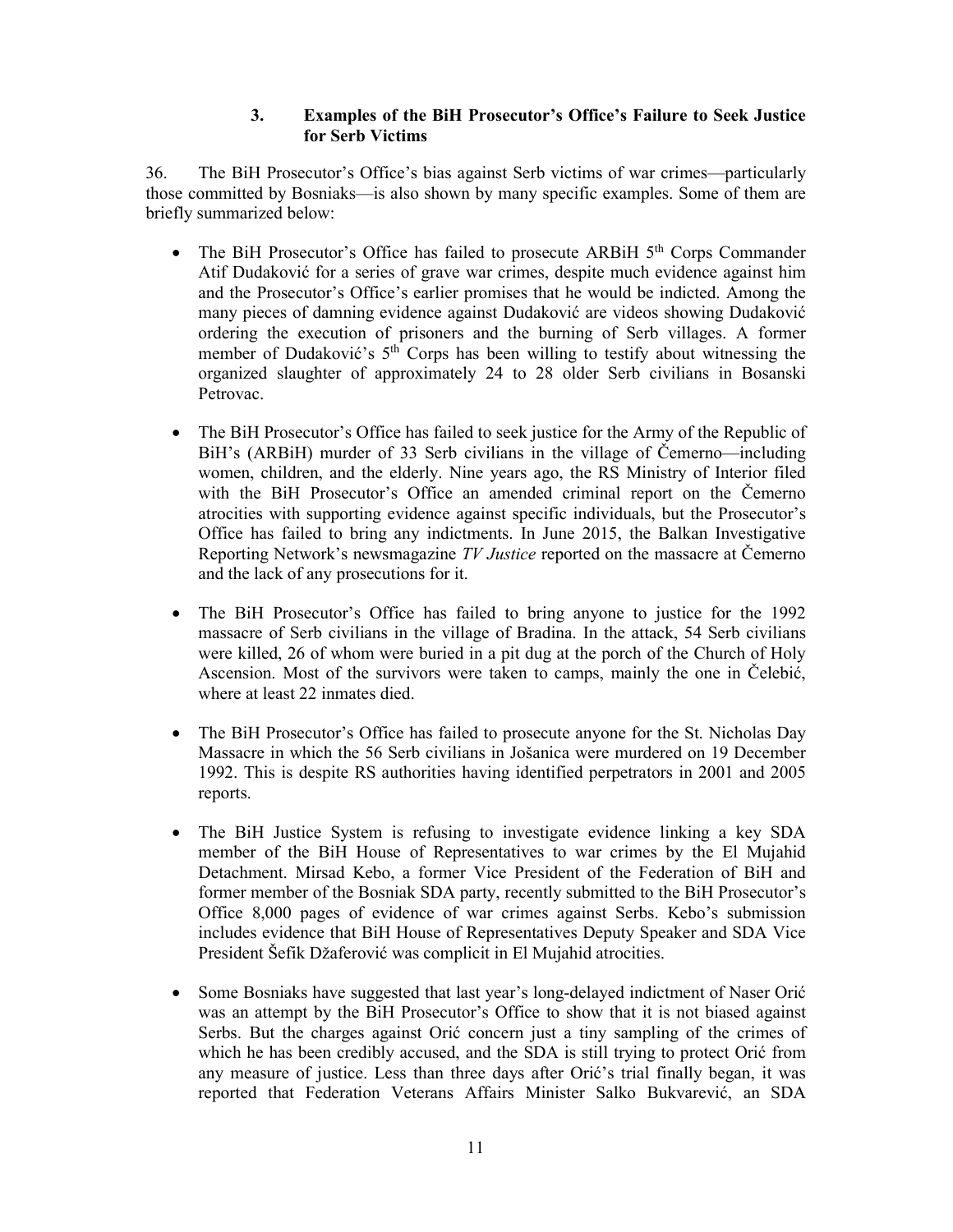#### **3. Examples of the BiH Prosecutor's Office's Failure to Seek Justice for Serb Victims**

36. The BiH Prosecutor's Office's bias against Serb victims of war crimes—particularly those committed by Bosniaks—is also shown by many specific examples. Some of them are briefly summarized below:

- The BiH Prosecutor's Office has failed to prosecute ARBiH  $5<sup>th</sup>$  Corps Commander Atif Dudaković for a series of grave war crimes, despite much evidence against him and the Prosecutor's Office's earlier promises that he would be indicted. Among the many pieces of damning evidence against Dudaković are videos showing Dudaković ordering the execution of prisoners and the burning of Serb villages. A former member of Dudaković's 5<sup>th</sup> Corps has been willing to testify about witnessing the organized slaughter of approximately 24 to 28 older Serb civilians in Bosanski Petrovac.
- The BiH Prosecutor's Office has failed to seek justice for the Army of the Republic of BiH's (ARBiH) murder of 33 Serb civilians in the village of Čemerno—including women, children, and the elderly. Nine years ago, the RS Ministry of Interior filed with the BiH Prosecutor's Office an amended criminal report on the Čemerno atrocities with supporting evidence against specific individuals, but the Prosecutor's Office has failed to bring any indictments. In June 2015, the Balkan Investigative Reporting Network's newsmagazine *TV Justice* reported on the massacre at Čemerno and the lack of any prosecutions for it.
- The BiH Prosecutor's Office has failed to bring anyone to justice for the 1992 massacre of Serb civilians in the village of Bradina. In the attack, 54 Serb civilians were killed, 26 of whom were buried in a pit dug at the porch of the Church of Holy Ascension. Most of the survivors were taken to camps, mainly the one in Čelebić, where at least 22 inmates died.
- The BiH Prosecutor's Office has failed to prosecute anyone for the St. Nicholas Day Massacre in which the 56 Serb civilians in Jošanica were murdered on 19 December 1992. This is despite RS authorities having identified perpetrators in 2001 and 2005 reports.
- The BiH Justice System is refusing to investigate evidence linking a key SDA member of the BiH House of Representatives to war crimes by the El Mujahid Detachment. Mirsad Kebo, a former Vice President of the Federation of BiH and former member of the Bosniak SDA party, recently submitted to the BiH Prosecutor's Office 8,000 pages of evidence of war crimes against Serbs. Kebo's submission includes evidence that BiH House of Representatives Deputy Speaker and SDA Vice President Šefik Džaferović was complicit in El Mujahid atrocities.
- Some Bosniaks have suggested that last year's long-delayed indictment of Naser Orić was an attempt by the BiH Prosecutor's Office to show that it is not biased against Serbs. But the charges against Orić concern just a tiny sampling of the crimes of which he has been credibly accused, and the SDA is still trying to protect Orić from any measure of justice. Less than three days after Orić's trial finally began, it was reported that Federation Veterans Affairs Minister Salko Bukvarević, an SDA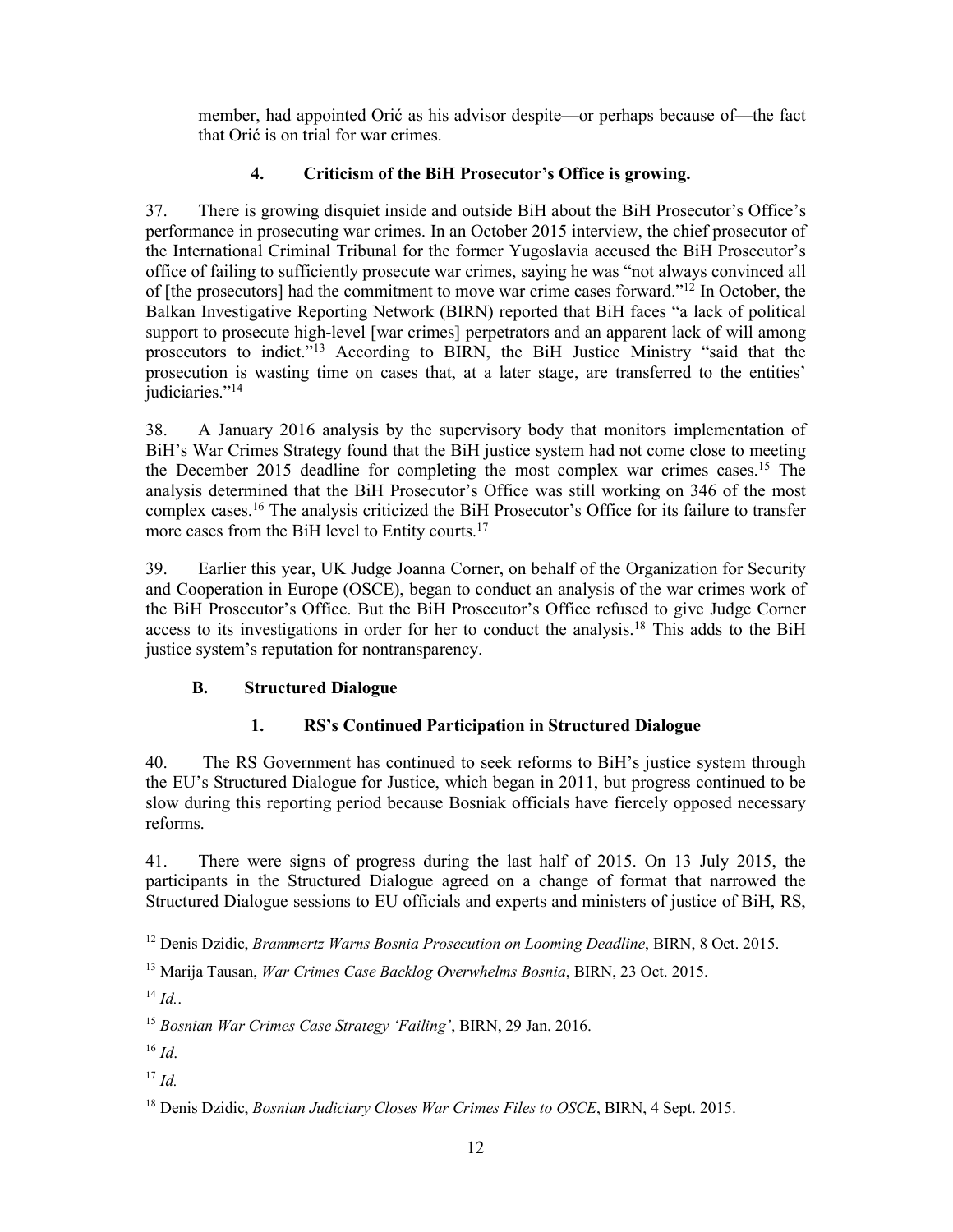member, had appointed Orić as his advisor despite—or perhaps because of—the fact that Orić is on trial for war crimes.

## **4. Criticism of the BiH Prosecutor's Office is growing.**

37. There is growing disquiet inside and outside BiH about the BiH Prosecutor's Office's performance in prosecuting war crimes. In an October 2015 interview, the chief prosecutor of the International Criminal Tribunal for the former Yugoslavia accused the BiH Prosecutor's office of failing to sufficiently prosecute war crimes, saying he was "not always convinced all of [the prosecutors] had the commitment to move war crime cases forward."12 In October, the Balkan Investigative Reporting Network (BIRN) reported that BiH faces "a lack of political support to prosecute high-level [war crimes] perpetrators and an apparent lack of will among prosecutors to indict."13 According to BIRN, the BiH Justice Ministry "said that the prosecution is wasting time on cases that, at a later stage, are transferred to the entities' judiciaries."<sup>14</sup>

38. A January 2016 analysis by the supervisory body that monitors implementation of BiH's War Crimes Strategy found that the BiH justice system had not come close to meeting the December 2015 deadline for completing the most complex war crimes cases.15 The analysis determined that the BiH Prosecutor's Office was still working on 346 of the most complex cases.16 The analysis criticized the BiH Prosecutor's Office for its failure to transfer more cases from the BiH level to Entity courts.<sup>17</sup>

39. Earlier this year, UK Judge Joanna Corner, on behalf of the Organization for Security and Cooperation in Europe (OSCE), began to conduct an analysis of the war crimes work of the BiH Prosecutor's Office. But the BiH Prosecutor's Office refused to give Judge Corner access to its investigations in order for her to conduct the analysis.<sup>18</sup> This adds to the BiH justice system's reputation for nontransparency.

## **B. Structured Dialogue**

## **1. RS's Continued Participation in Structured Dialogue**

40. The RS Government has continued to seek reforms to BiH's justice system through the EU's Structured Dialogue for Justice, which began in 2011, but progress continued to be slow during this reporting period because Bosniak officials have fiercely opposed necessary reforms.

41. There were signs of progress during the last half of 2015. On 13 July 2015, the participants in the Structured Dialogue agreed on a change of format that narrowed the Structured Dialogue sessions to EU officials and experts and ministers of justice of BiH, RS,

 <sup>12</sup> Denis Dzidic, *Brammertz Warns Bosnia Prosecution on Looming Deadline*, BIRN, 8 Oct. 2015.

<sup>13</sup> Marija Tausan, *War Crimes Case Backlog Overwhelms Bosnia*, BIRN, 23 Oct. 2015.

 $^{14}$  *Id.*.

<sup>15</sup> *Bosnian War Crimes Case Strategy 'Failing'*, BIRN, 29 Jan. 2016.

 $16$  *Id.* 

<sup>17</sup> *Id.*

<sup>18</sup> Denis Dzidic, *Bosnian Judiciary Closes War Crimes Files to OSCE*, BIRN, 4 Sept. 2015.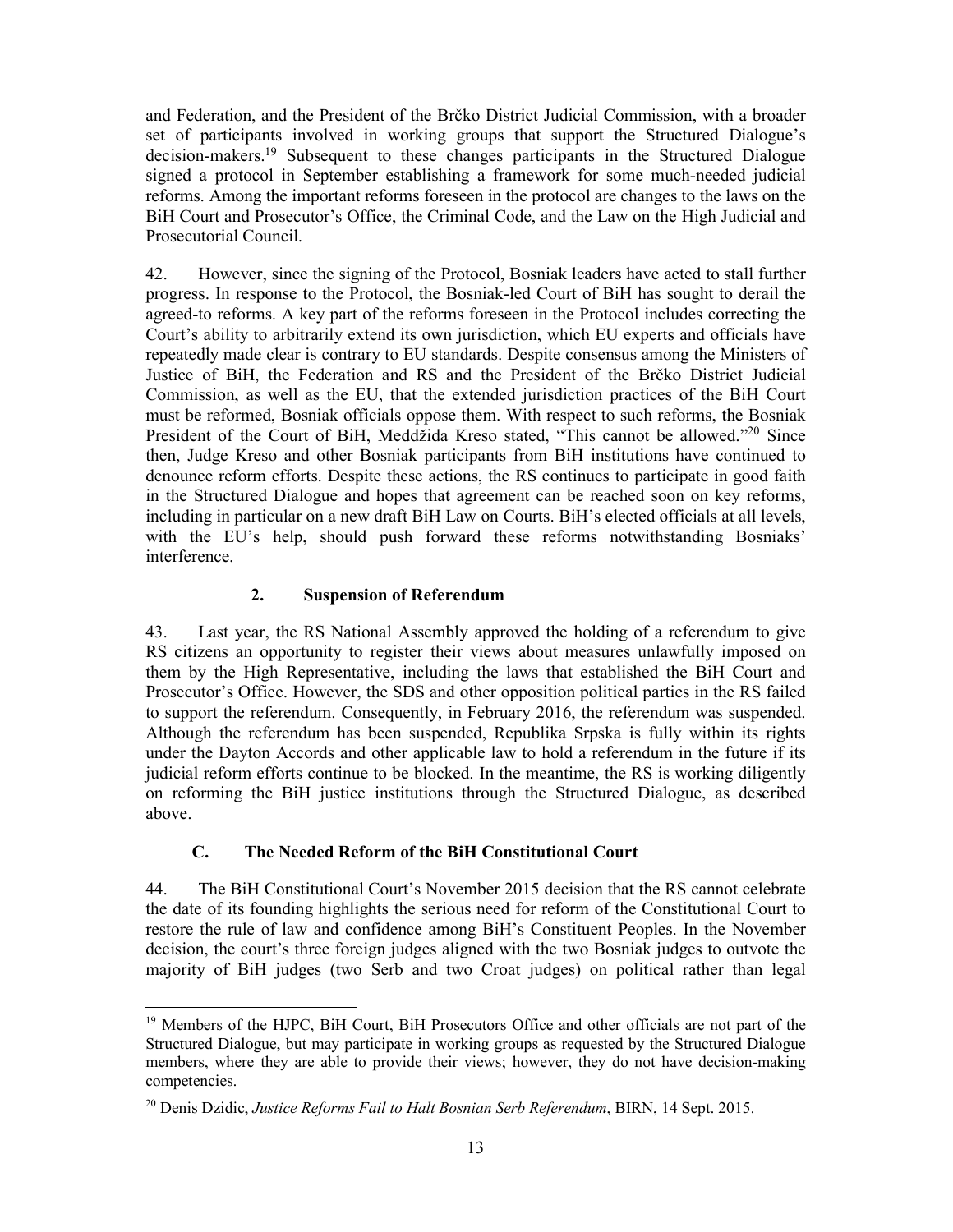and Federation, and the President of the Brčko District Judicial Commission, with a broader set of participants involved in working groups that support the Structured Dialogue's decision-makers.19 Subsequent to these changes participants in the Structured Dialogue signed a protocol in September establishing a framework for some much-needed judicial reforms. Among the important reforms foreseen in the protocol are changes to the laws on the BiH Court and Prosecutor's Office, the Criminal Code, and the Law on the High Judicial and Prosecutorial Council.

42. However, since the signing of the Protocol, Bosniak leaders have acted to stall further progress. In response to the Protocol, the Bosniak-led Court of BiH has sought to derail the agreed-to reforms. A key part of the reforms foreseen in the Protocol includes correcting the Court's ability to arbitrarily extend its own jurisdiction, which EU experts and officials have repeatedly made clear is contrary to EU standards. Despite consensus among the Ministers of Justice of BiH, the Federation and RS and the President of the Brčko District Judicial Commission, as well as the EU, that the extended jurisdiction practices of the BiH Court must be reformed, Bosniak officials oppose them. With respect to such reforms, the Bosniak President of the Court of BiH, Meddžida Kreso stated, "This cannot be allowed."<sup>20</sup> Since then, Judge Kreso and other Bosniak participants from BiH institutions have continued to denounce reform efforts. Despite these actions, the RS continues to participate in good faith in the Structured Dialogue and hopes that agreement can be reached soon on key reforms, including in particular on a new draft BiH Law on Courts. BiH's elected officials at all levels, with the EU's help, should push forward these reforms notwithstanding Bosniaks' interference.

## **2. Suspension of Referendum**

43. Last year, the RS National Assembly approved the holding of a referendum to give RS citizens an opportunity to register their views about measures unlawfully imposed on them by the High Representative, including the laws that established the BiH Court and Prosecutor's Office. However, the SDS and other opposition political parties in the RS failed to support the referendum. Consequently, in February 2016, the referendum was suspended. Although the referendum has been suspended, Republika Srpska is fully within its rights under the Dayton Accords and other applicable law to hold a referendum in the future if its judicial reform efforts continue to be blocked. In the meantime, the RS is working diligently on reforming the BiH justice institutions through the Structured Dialogue, as described above.

## **C. The Needed Reform of the BiH Constitutional Court**

44. The BiH Constitutional Court's November 2015 decision that the RS cannot celebrate the date of its founding highlights the serious need for reform of the Constitutional Court to restore the rule of law and confidence among BiH's Constituent Peoples. In the November decision, the court's three foreign judges aligned with the two Bosniak judges to outvote the majority of BiH judges (two Serb and two Croat judges) on political rather than legal

<sup>&</sup>lt;sup>19</sup> Members of the HJPC, BiH Court, BiH Prosecutors Office and other officials are not part of the Structured Dialogue, but may participate in working groups as requested by the Structured Dialogue members, where they are able to provide their views; however, they do not have decision-making competencies.

<sup>20</sup> Denis Dzidic, *Justice Reforms Fail to Halt Bosnian Serb Referendum*, BIRN, 14 Sept. 2015.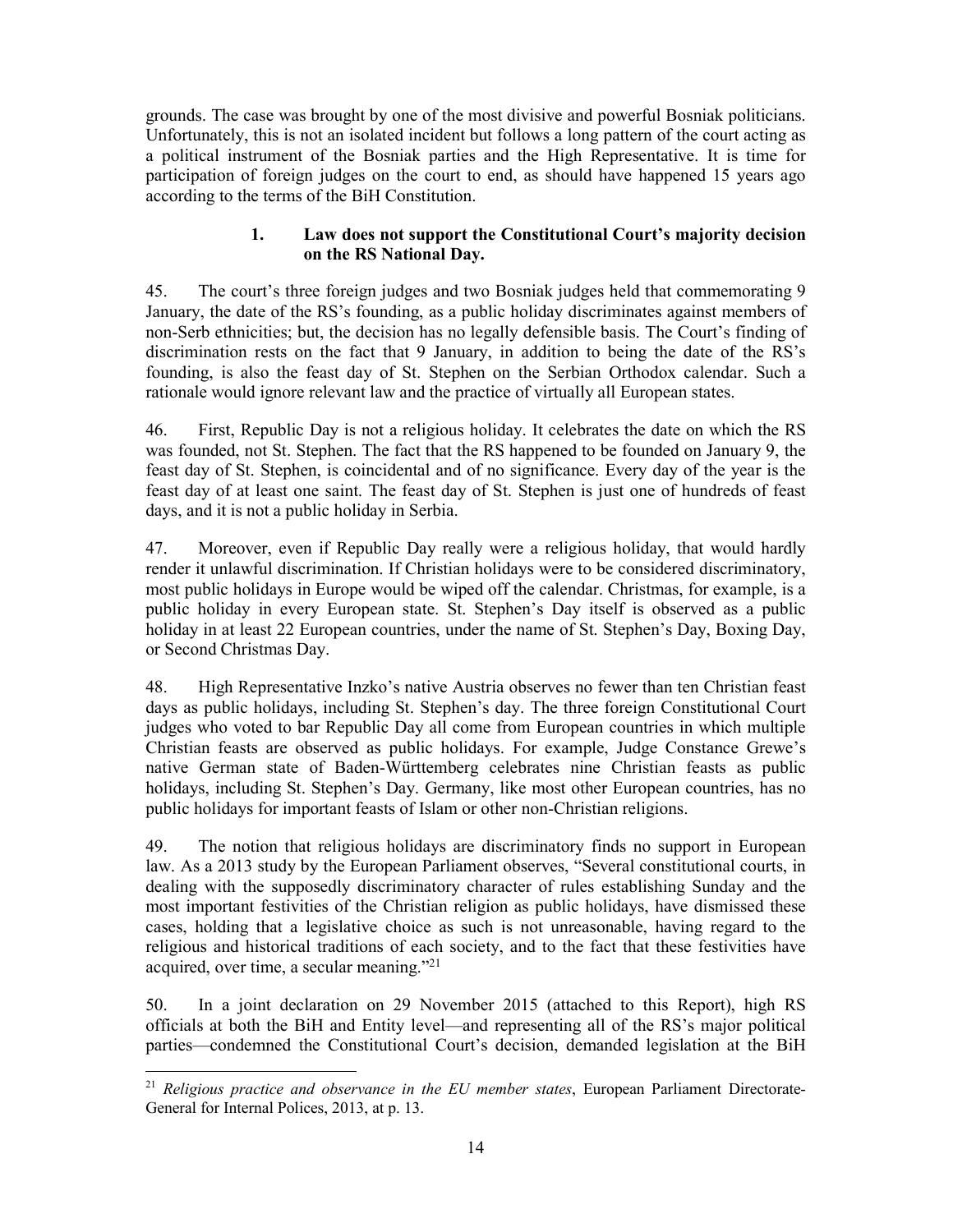grounds. The case was brought by one of the most divisive and powerful Bosniak politicians. Unfortunately, this is not an isolated incident but follows a long pattern of the court acting as a political instrument of the Bosniak parties and the High Representative. It is time for participation of foreign judges on the court to end, as should have happened 15 years ago according to the terms of the BiH Constitution.

## **1. Law does not support the Constitutional Court's majority decision on the RS National Day.**

45. The court's three foreign judges and two Bosniak judges held that commemorating 9 January, the date of the RS's founding, as a public holiday discriminates against members of non-Serb ethnicities; but, the decision has no legally defensible basis. The Court's finding of discrimination rests on the fact that 9 January, in addition to being the date of the RS's founding, is also the feast day of St. Stephen on the Serbian Orthodox calendar. Such a rationale would ignore relevant law and the practice of virtually all European states.

46. First, Republic Day is not a religious holiday. It celebrates the date on which the RS was founded, not St. Stephen. The fact that the RS happened to be founded on January 9, the feast day of St. Stephen, is coincidental and of no significance. Every day of the year is the feast day of at least one saint. The feast day of St. Stephen is just one of hundreds of feast days, and it is not a public holiday in Serbia.

47. Moreover, even if Republic Day really were a religious holiday, that would hardly render it unlawful discrimination. If Christian holidays were to be considered discriminatory, most public holidays in Europe would be wiped off the calendar. Christmas, for example, is a public holiday in every European state. St. Stephen's Day itself is observed as a public holiday in at least 22 European countries, under the name of St. Stephen's Day, Boxing Day, or Second Christmas Day.

48. High Representative Inzko's native Austria observes no fewer than ten Christian feast days as public holidays, including St. Stephen's day. The three foreign Constitutional Court judges who voted to bar Republic Day all come from European countries in which multiple Christian feasts are observed as public holidays. For example, Judge Constance Grewe's native German state of Baden-Württemberg celebrates nine Christian feasts as public holidays, including St. Stephen's Day. Germany, like most other European countries, has no public holidays for important feasts of Islam or other non-Christian religions.

49. The notion that religious holidays are discriminatory finds no support in European law. As a 2013 study by the European Parliament observes, "Several constitutional courts, in dealing with the supposedly discriminatory character of rules establishing Sunday and the most important festivities of the Christian religion as public holidays, have dismissed these cases, holding that a legislative choice as such is not unreasonable, having regard to the religious and historical traditions of each society, and to the fact that these festivities have acquired, over time, a secular meaning."21

50. In a joint declaration on 29 November 2015 (attached to this Report), high RS officials at both the BiH and Entity level—and representing all of the RS's major political parties—condemned the Constitutional Court's decision, demanded legislation at the BiH

 <sup>21</sup> *Religious practice and observance in the EU member states*, European Parliament Directorate-General for Internal Polices, 2013, at p. 13.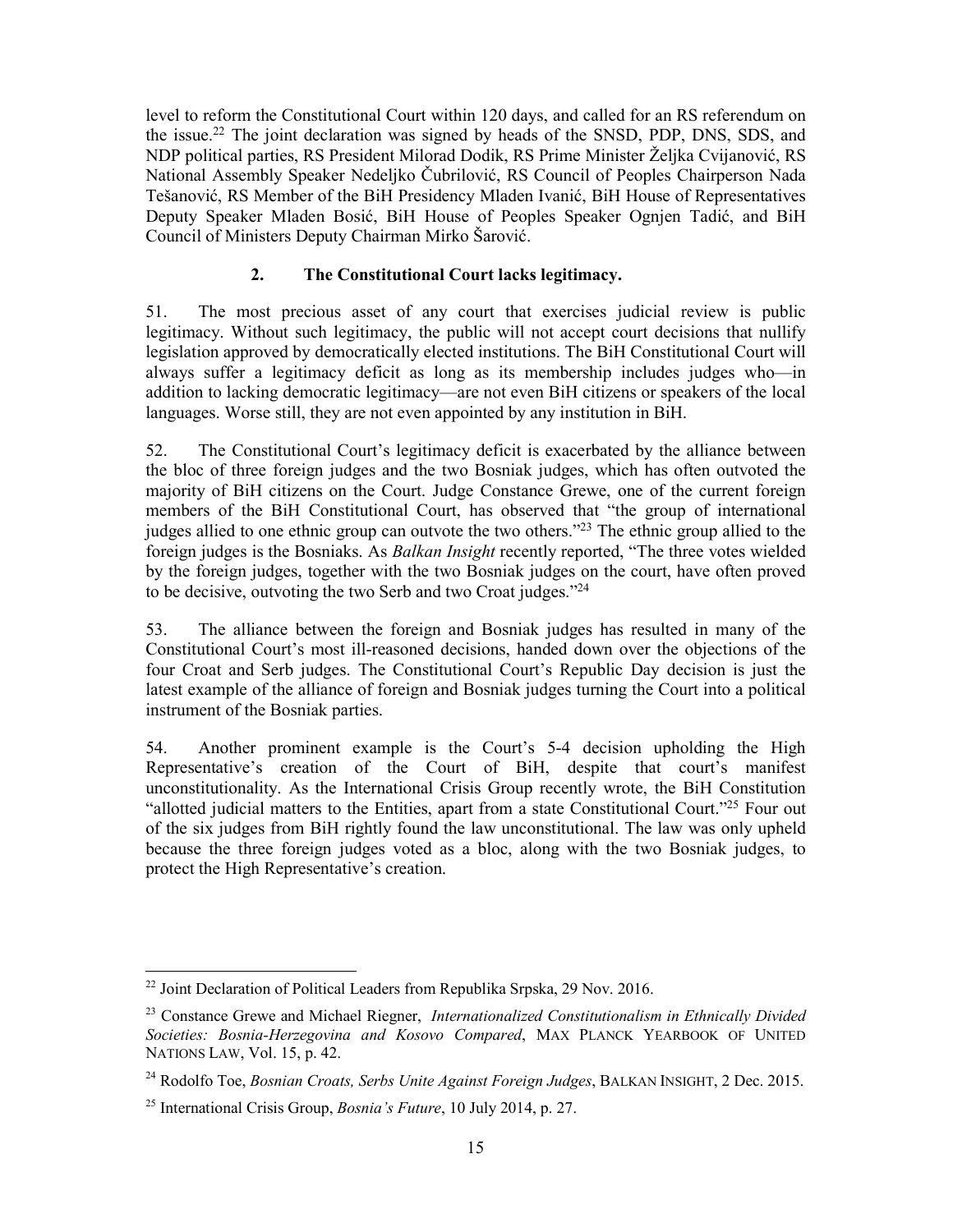level to reform the Constitutional Court within 120 days, and called for an RS referendum on the issue.<sup>22</sup> The joint declaration was signed by heads of the SNSD, PDP, DNS, SDS, and NDP political parties, RS President Milorad Dodik, RS Prime Minister Želјka Cvijanović, RS National Assembly Speaker Nedelјko Čubrilović, RS Council of Peoples Chairperson Nada Tešanović, RS Member of the BiH Presidency Mladen Ivanić, BiH House of Representatives Deputy Speaker Mladen Bosić, BiH House of Peoples Speaker Ognjen Tadić, and BiH Council of Ministers Deputy Chairman Mirko Šarović.

## **2. The Constitutional Court lacks legitimacy.**

51. The most precious asset of any court that exercises judicial review is public legitimacy. Without such legitimacy, the public will not accept court decisions that nullify legislation approved by democratically elected institutions. The BiH Constitutional Court will always suffer a legitimacy deficit as long as its membership includes judges who—in addition to lacking democratic legitimacy—are not even BiH citizens or speakers of the local languages. Worse still, they are not even appointed by any institution in BiH.

52. The Constitutional Court's legitimacy deficit is exacerbated by the alliance between the bloc of three foreign judges and the two Bosniak judges, which has often outvoted the majority of BiH citizens on the Court. Judge Constance Grewe, one of the current foreign members of the BiH Constitutional Court, has observed that "the group of international judges allied to one ethnic group can outvote the two others."<sup>23</sup> The ethnic group allied to the foreign judges is the Bosniaks. As *Balkan Insight* recently reported, "The three votes wielded by the foreign judges, together with the two Bosniak judges on the court, have often proved to be decisive, outvoting the two Serb and two Croat judges."24

53. The alliance between the foreign and Bosniak judges has resulted in many of the Constitutional Court's most ill-reasoned decisions, handed down over the objections of the four Croat and Serb judges. The Constitutional Court's Republic Day decision is just the latest example of the alliance of foreign and Bosniak judges turning the Court into a political instrument of the Bosniak parties.

54. Another prominent example is the Court's 5-4 decision upholding the High Representative's creation of the Court of BiH, despite that court's manifest unconstitutionality. As the International Crisis Group recently wrote, the BiH Constitution "allotted judicial matters to the Entities, apart from a state Constitutional Court."25 Four out of the six judges from BiH rightly found the law unconstitutional. The law was only upheld because the three foreign judges voted as a bloc, along with the two Bosniak judges, to protect the High Representative's creation.

<sup>&</sup>lt;sup>22</sup> Joint Declaration of Political Leaders from Republika Srpska, 29 Nov. 2016.

<sup>23</sup> Constance Grewe and Michael Riegner, *Internationalized Constitutionalism in Ethnically Divided Societies: Bosnia-Herzegovina and Kosovo Compared*, MAX PLANCK YEARBOOK OF UNITED NATIONS LAW, Vol. 15, p. 42.

<sup>24</sup> Rodolfo Toe, *Bosnian Croats, Serbs Unite Against Foreign Judges*, BALKAN INSIGHT, 2 Dec. 2015.

<sup>25</sup> International Crisis Group, *Bosnia's Future*, 10 July 2014, p. 27.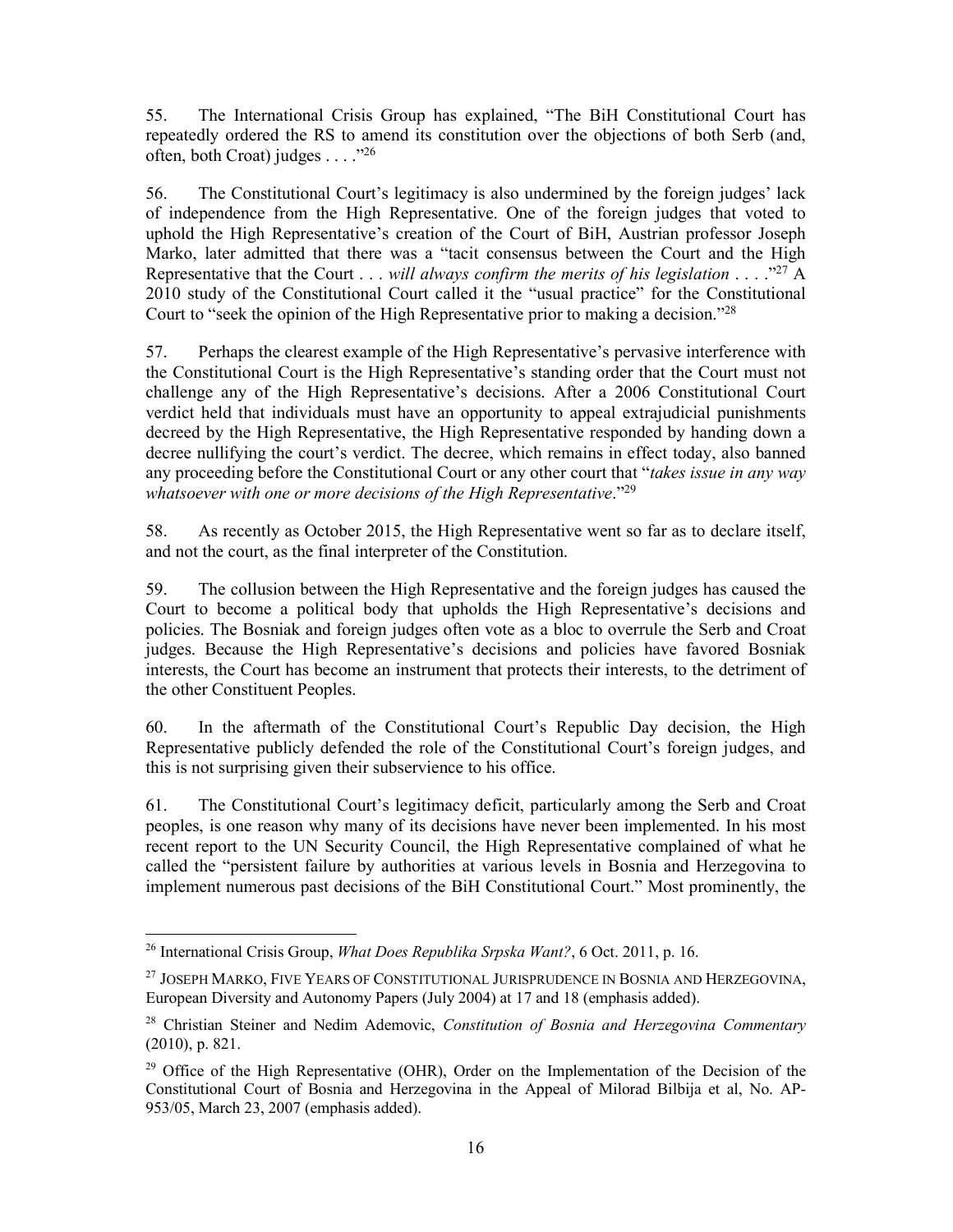55. The International Crisis Group has explained, "The BiH Constitutional Court has repeatedly ordered the RS to amend its constitution over the objections of both Serb (and, often, both Croat) judges . . . . "<sup>26</sup>

56. The Constitutional Court's legitimacy is also undermined by the foreign judges' lack of independence from the High Representative. One of the foreign judges that voted to uphold the High Representative's creation of the Court of BiH, Austrian professor Joseph Marko, later admitted that there was a "tacit consensus between the Court and the High Representative that the Court . . . *will always confirm the merits of his legislation* . . . ."27 A 2010 study of the Constitutional Court called it the "usual practice" for the Constitutional Court to "seek the opinion of the High Representative prior to making a decision."28

57. Perhaps the clearest example of the High Representative's pervasive interference with the Constitutional Court is the High Representative's standing order that the Court must not challenge any of the High Representative's decisions. After a 2006 Constitutional Court verdict held that individuals must have an opportunity to appeal extrajudicial punishments decreed by the High Representative, the High Representative responded by handing down a decree nullifying the court's verdict. The decree, which remains in effect today, also banned any proceeding before the Constitutional Court or any other court that "*takes issue in any way whatsoever with one or more decisions of the High Representative*."29

58. As recently as October 2015, the High Representative went so far as to declare itself, and not the court, as the final interpreter of the Constitution.

59. The collusion between the High Representative and the foreign judges has caused the Court to become a political body that upholds the High Representative's decisions and policies. The Bosniak and foreign judges often vote as a bloc to overrule the Serb and Croat judges. Because the High Representative's decisions and policies have favored Bosniak interests, the Court has become an instrument that protects their interests, to the detriment of the other Constituent Peoples.

60. In the aftermath of the Constitutional Court's Republic Day decision, the High Representative publicly defended the role of the Constitutional Court's foreign judges, and this is not surprising given their subservience to his office.

61. The Constitutional Court's legitimacy deficit, particularly among the Serb and Croat peoples, is one reason why many of its decisions have never been implemented. In his most recent report to the UN Security Council, the High Representative complained of what he called the "persistent failure by authorities at various levels in Bosnia and Herzegovina to implement numerous past decisions of the BiH Constitutional Court." Most prominently, the

 <sup>26</sup> International Crisis Group, *What Does Republika Srpska Want?*, 6 Oct. 2011, p. 16.

<sup>&</sup>lt;sup>27</sup> JOSEPH MARKO, FIVE YEARS OF CONSTITUTIONAL JURISPRUDENCE IN BOSNIA AND HERZEGOVINA, European Diversity and Autonomy Papers (July 2004) at 17 and 18 (emphasis added).

<sup>28</sup> Christian Steiner and Nedim Ademovic, *Constitution of Bosnia and Herzegovina Commentary* (2010), p. 821.

<sup>&</sup>lt;sup>29</sup> Office of the High Representative (OHR), Order on the Implementation of the Decision of the Constitutional Court of Bosnia and Herzegovina in the Appeal of Milorad Bilbija et al, No. AP-953/05, March 23, 2007 (emphasis added).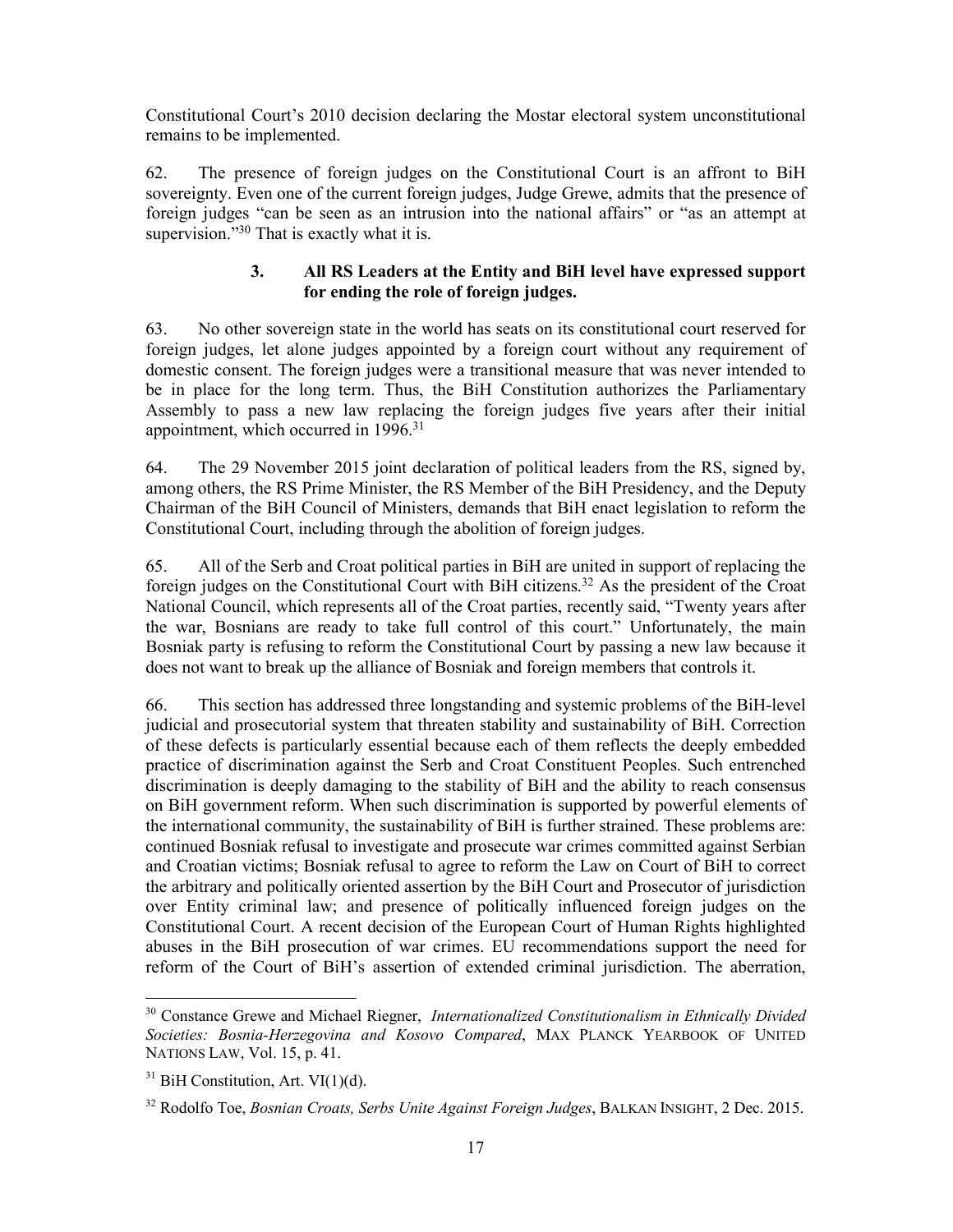Constitutional Court's 2010 decision declaring the Mostar electoral system unconstitutional remains to be implemented.

62. The presence of foreign judges on the Constitutional Court is an affront to BiH sovereignty. Even one of the current foreign judges, Judge Grewe, admits that the presence of foreign judges "can be seen as an intrusion into the national affairs" or "as an attempt at supervision."<sup>30</sup> That is exactly what it is.

## **3. All RS Leaders at the Entity and BiH level have expressed support for ending the role of foreign judges.**

63. No other sovereign state in the world has seats on its constitutional court reserved for foreign judges, let alone judges appointed by a foreign court without any requirement of domestic consent. The foreign judges were a transitional measure that was never intended to be in place for the long term. Thus, the BiH Constitution authorizes the Parliamentary Assembly to pass a new law replacing the foreign judges five years after their initial appointment, which occurred in 1996.<sup>31</sup>

64. The 29 November 2015 joint declaration of political leaders from the RS, signed by, among others, the RS Prime Minister, the RS Member of the BiH Presidency, and the Deputy Chairman of the BiH Council of Ministers, demands that BiH enact legislation to reform the Constitutional Court, including through the abolition of foreign judges.

65. All of the Serb and Croat political parties in BiH are united in support of replacing the foreign judges on the Constitutional Court with BiH citizens.<sup>32</sup> As the president of the Croat National Council, which represents all of the Croat parties, recently said, "Twenty years after the war, Bosnians are ready to take full control of this court." Unfortunately, the main Bosniak party is refusing to reform the Constitutional Court by passing a new law because it does not want to break up the alliance of Bosniak and foreign members that controls it.

66. This section has addressed three longstanding and systemic problems of the BiH-level judicial and prosecutorial system that threaten stability and sustainability of BiH. Correction of these defects is particularly essential because each of them reflects the deeply embedded practice of discrimination against the Serb and Croat Constituent Peoples. Such entrenched discrimination is deeply damaging to the stability of BiH and the ability to reach consensus on BiH government reform. When such discrimination is supported by powerful elements of the international community, the sustainability of BiH is further strained. These problems are: continued Bosniak refusal to investigate and prosecute war crimes committed against Serbian and Croatian victims; Bosniak refusal to agree to reform the Law on Court of BiH to correct the arbitrary and politically oriented assertion by the BiH Court and Prosecutor of jurisdiction over Entity criminal law; and presence of politically influenced foreign judges on the Constitutional Court. A recent decision of the European Court of Human Rights highlighted abuses in the BiH prosecution of war crimes. EU recommendations support the need for reform of the Court of BiH's assertion of extended criminal jurisdiction. The aberration,

 <sup>30</sup> Constance Grewe and Michael Riegner, *Internationalized Constitutionalism in Ethnically Divided Societies: Bosnia-Herzegovina and Kosovo Compared*, MAX PLANCK YEARBOOK OF UNITED NATIONS LAW, Vol. 15, p. 41.

 $31$  BiH Constitution, Art. VI $(1)(d)$ .

<sup>32</sup> Rodolfo Toe, *Bosnian Croats, Serbs Unite Against Foreign Judges*, BALKAN INSIGHT, 2 Dec. 2015.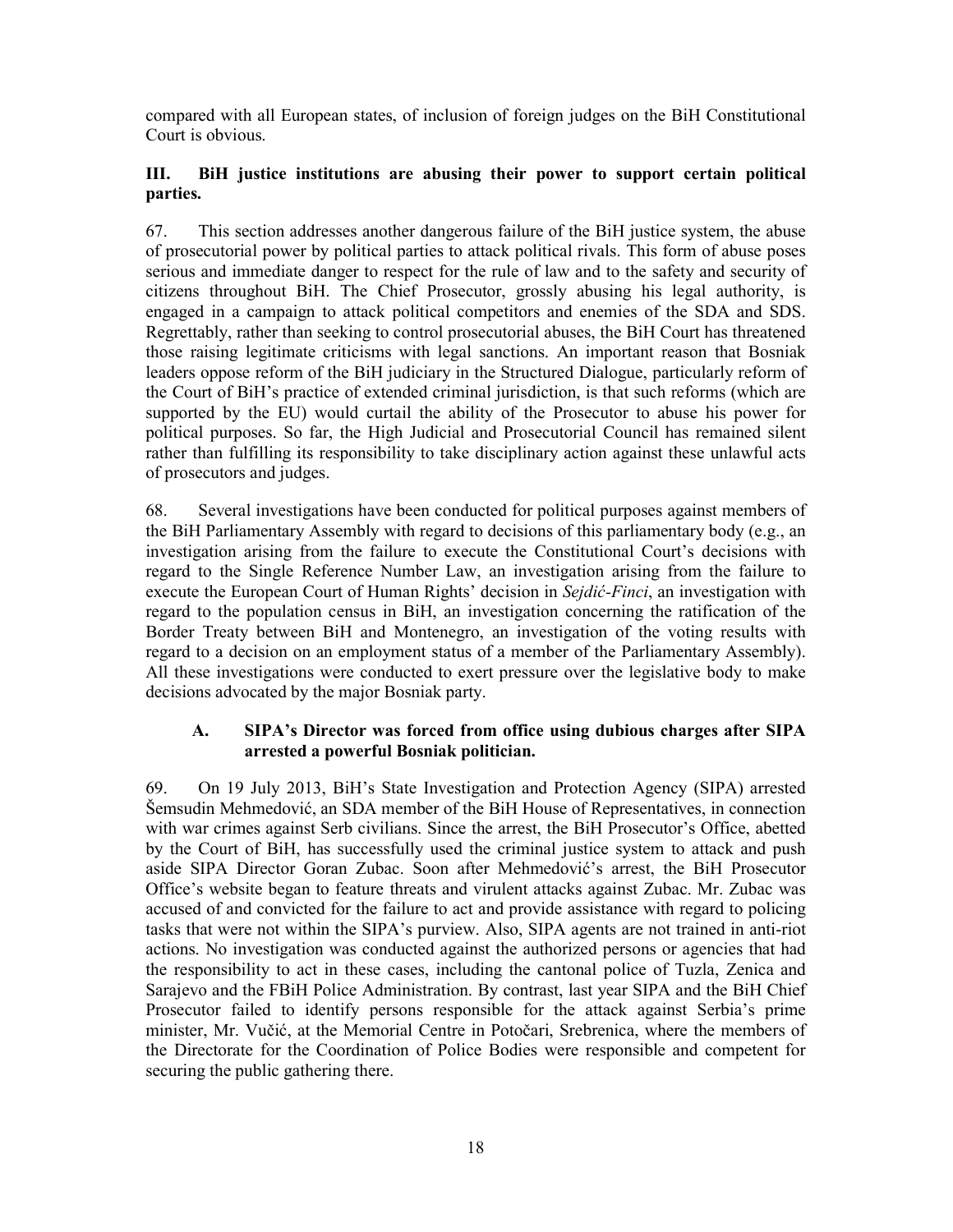compared with all European states, of inclusion of foreign judges on the BiH Constitutional Court is obvious.

## **III. BiH justice institutions are abusing their power to support certain political parties.**

67. This section addresses another dangerous failure of the BiH justice system, the abuse of prosecutorial power by political parties to attack political rivals. This form of abuse poses serious and immediate danger to respect for the rule of law and to the safety and security of citizens throughout BiH. The Chief Prosecutor, grossly abusing his legal authority, is engaged in a campaign to attack political competitors and enemies of the SDA and SDS. Regrettably, rather than seeking to control prosecutorial abuses, the BiH Court has threatened those raising legitimate criticisms with legal sanctions. An important reason that Bosniak leaders oppose reform of the BiH judiciary in the Structured Dialogue, particularly reform of the Court of BiH's practice of extended criminal jurisdiction, is that such reforms (which are supported by the EU) would curtail the ability of the Prosecutor to abuse his power for political purposes. So far, the High Judicial and Prosecutorial Council has remained silent rather than fulfilling its responsibility to take disciplinary action against these unlawful acts of prosecutors and judges.

68. Several investigations have been conducted for political purposes against members of the BiH Parliamentary Assembly with regard to decisions of this parliamentary body (e.g., an investigation arising from the failure to execute the Constitutional Court's decisions with regard to the Single Reference Number Law, an investigation arising from the failure to execute the European Court of Human Rights' decision in *Sejdić-Finci*, an investigation with regard to the population census in BiH, an investigation concerning the ratification of the Border Treaty between BiH and Montenegro, an investigation of the voting results with regard to a decision on an employment status of a member of the Parliamentary Assembly). All these investigations were conducted to exert pressure over the legislative body to make decisions advocated by the major Bosniak party.

#### **A. SIPA's Director was forced from office using dubious charges after SIPA arrested a powerful Bosniak politician.**

69. On 19 July 2013, BiH's State Investigation and Protection Agency (SIPA) arrested Šemsudin Mehmedović, an SDA member of the BiH House of Representatives, in connection with war crimes against Serb civilians. Since the arrest, the BiH Prosecutor's Office, abetted by the Court of BiH, has successfully used the criminal justice system to attack and push aside SIPA Director Goran Zubac. Soon after Mehmedović's arrest, the BiH Prosecutor Office's website began to feature threats and virulent attacks against Zubac. Mr. Zubac was accused of and convicted for the failure to act and provide assistance with regard to policing tasks that were not within the SIPA's purview. Also, SIPA agents are not trained in anti-riot actions. No investigation was conducted against the authorized persons or agencies that had the responsibility to act in these cases, including the cantonal police of Tuzla, Zenica and Sarajevo and the FBiH Police Administration. By contrast, last year SIPA and the BiH Chief Prosecutor failed to identify persons responsible for the attack against Serbia's prime minister, Mr. Vučić, at the Memorial Centre in Potočari, Srebrenica, where the members of the Directorate for the Coordination of Police Bodies were responsible and competent for securing the public gathering there.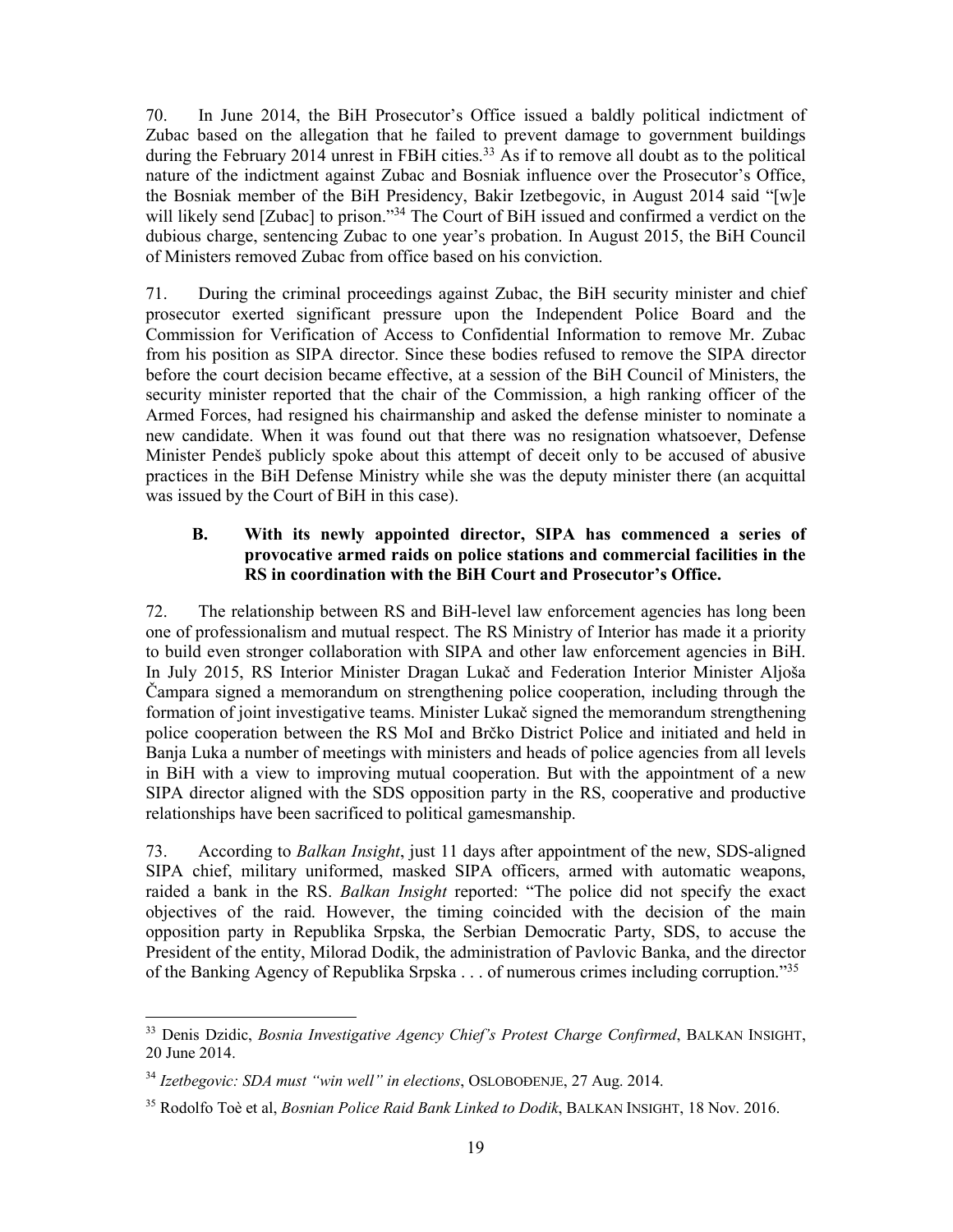70. In June 2014, the BiH Prosecutor's Office issued a baldly political indictment of Zubac based on the allegation that he failed to prevent damage to government buildings during the February 2014 unrest in FBiH cities.<sup>33</sup> As if to remove all doubt as to the political nature of the indictment against Zubac and Bosniak influence over the Prosecutor's Office, the Bosniak member of the BiH Presidency, Bakir Izetbegovic, in August 2014 said "[w]e will likely send [Zubac] to prison."<sup>34</sup> The Court of BiH issued and confirmed a verdict on the dubious charge, sentencing Zubac to one year's probation. In August 2015, the BiH Council of Ministers removed Zubac from office based on his conviction.

71. During the criminal proceedings against Zubac, the BiH security minister and chief prosecutor exerted significant pressure upon the Independent Police Board and the Commission for Verification of Access to Confidential Information to remove Mr. Zubac from his position as SIPA director. Since these bodies refused to remove the SIPA director before the court decision became effective, at a session of the BiH Council of Ministers, the security minister reported that the chair of the Commission, a high ranking officer of the Armed Forces, had resigned his chairmanship and asked the defense minister to nominate a new candidate. When it was found out that there was no resignation whatsoever, Defense Minister Pendeš publicly spoke about this attempt of deceit only to be accused of abusive practices in the BiH Defense Ministry while she was the deputy minister there (an acquittal was issued by the Court of BiH in this case).

#### **B. With its newly appointed director, SIPA has commenced a series of provocative armed raids on police stations and commercial facilities in the RS in coordination with the BiH Court and Prosecutor's Office.**

72. The relationship between RS and BiH-level law enforcement agencies has long been one of professionalism and mutual respect. The RS Ministry of Interior has made it a priority to build even stronger collaboration with SIPA and other law enforcement agencies in BiH. In July 2015, RS Interior Minister Dragan Lukač and Federation Interior Minister Aljoša Čampara signed a memorandum on strengthening police cooperation, including through the formation of joint investigative teams. Minister Lukač signed the memorandum strengthening police cooperation between the RS MoI and Brčko District Police and initiated and held in Banja Luka a number of meetings with ministers and heads of police agencies from all levels in BiH with a view to improving mutual cooperation. But with the appointment of a new SIPA director aligned with the SDS opposition party in the RS, cooperative and productive relationships have been sacrificed to political gamesmanship.

73. According to *Balkan Insight*, just 11 days after appointment of the new, SDS-aligned SIPA chief, military uniformed, masked SIPA officers, armed with automatic weapons, raided a bank in the RS. *Balkan Insight* reported: "The police did not specify the exact objectives of the raid. However, the timing coincided with the decision of the main opposition party in Republika Srpska, the Serbian Democratic Party, SDS, to accuse the President of the entity, Milorad Dodik, the administration of Pavlovic Banka, and the director of the Banking Agency of Republika Srpska . . . of numerous crimes including corruption."35

 <sup>33</sup> Denis Dzidic, *Bosnia Investigative Agency Chief's Protest Charge Confirmed*, BALKAN INSIGHT, 20 June 2014.

<sup>34</sup> *Izetbegovic: SDA must "win well" in elections*, OSLOBOĐENJE, 27 Aug. 2014.

<sup>35</sup> Rodolfo Toè et al, *Bosnian Police Raid Bank Linked to Dodik*, BALKAN INSIGHT, 18 Nov. 2016.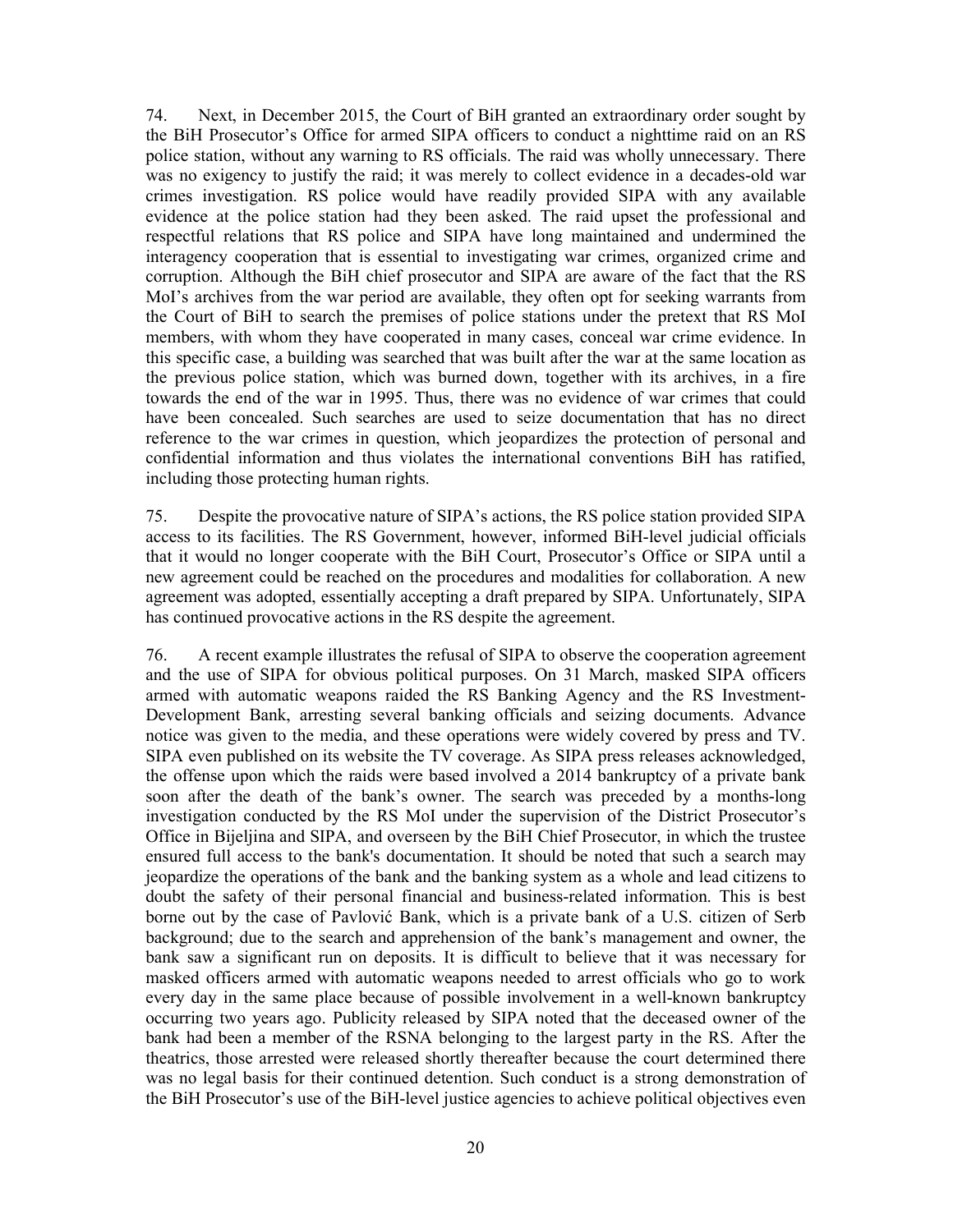74. Next, in December 2015, the Court of BiH granted an extraordinary order sought by the BiH Prosecutor's Office for armed SIPA officers to conduct a nighttime raid on an RS police station, without any warning to RS officials. The raid was wholly unnecessary. There was no exigency to justify the raid; it was merely to collect evidence in a decades-old war crimes investigation. RS police would have readily provided SIPA with any available evidence at the police station had they been asked. The raid upset the professional and respectful relations that RS police and SIPA have long maintained and undermined the interagency cooperation that is essential to investigating war crimes, organized crime and corruption. Although the BiH chief prosecutor and SIPA are aware of the fact that the RS MoI's archives from the war period are available, they often opt for seeking warrants from the Court of BiH to search the premises of police stations under the pretext that RS MoI members, with whom they have cooperated in many cases, conceal war crime evidence. In this specific case, a building was searched that was built after the war at the same location as the previous police station, which was burned down, together with its archives, in a fire towards the end of the war in 1995. Thus, there was no evidence of war crimes that could have been concealed. Such searches are used to seize documentation that has no direct reference to the war crimes in question, which jeopardizes the protection of personal and confidential information and thus violates the international conventions BiH has ratified, including those protecting human rights.

75. Despite the provocative nature of SIPA's actions, the RS police station provided SIPA access to its facilities. The RS Government, however, informed BiH-level judicial officials that it would no longer cooperate with the BiH Court, Prosecutor's Office or SIPA until a new agreement could be reached on the procedures and modalities for collaboration. A new agreement was adopted, essentially accepting a draft prepared by SIPA. Unfortunately, SIPA has continued provocative actions in the RS despite the agreement.

76. A recent example illustrates the refusal of SIPA to observe the cooperation agreement and the use of SIPA for obvious political purposes. On 31 March, masked SIPA officers armed with automatic weapons raided the RS Banking Agency and the RS Investment-Development Bank, arresting several banking officials and seizing documents. Advance notice was given to the media, and these operations were widely covered by press and TV. SIPA even published on its website the TV coverage. As SIPA press releases acknowledged, the offense upon which the raids were based involved a 2014 bankruptcy of a private bank soon after the death of the bank's owner. The search was preceded by a months-long investigation conducted by the RS MoI under the supervision of the District Prosecutor's Office in Bijeljina and SIPA, and overseen by the BiH Chief Prosecutor, in which the trustee ensured full access to the bank's documentation. It should be noted that such a search may jeopardize the operations of the bank and the banking system as a whole and lead citizens to doubt the safety of their personal financial and business-related information. This is best borne out by the case of Pavlović Bank, which is a private bank of a U.S. citizen of Serb background; due to the search and apprehension of the bank's management and owner, the bank saw a significant run on deposits. It is difficult to believe that it was necessary for masked officers armed with automatic weapons needed to arrest officials who go to work every day in the same place because of possible involvement in a well-known bankruptcy occurring two years ago. Publicity released by SIPA noted that the deceased owner of the bank had been a member of the RSNA belonging to the largest party in the RS. After the theatrics, those arrested were released shortly thereafter because the court determined there was no legal basis for their continued detention. Such conduct is a strong demonstration of the BiH Prosecutor's use of the BiH-level justice agencies to achieve political objectives even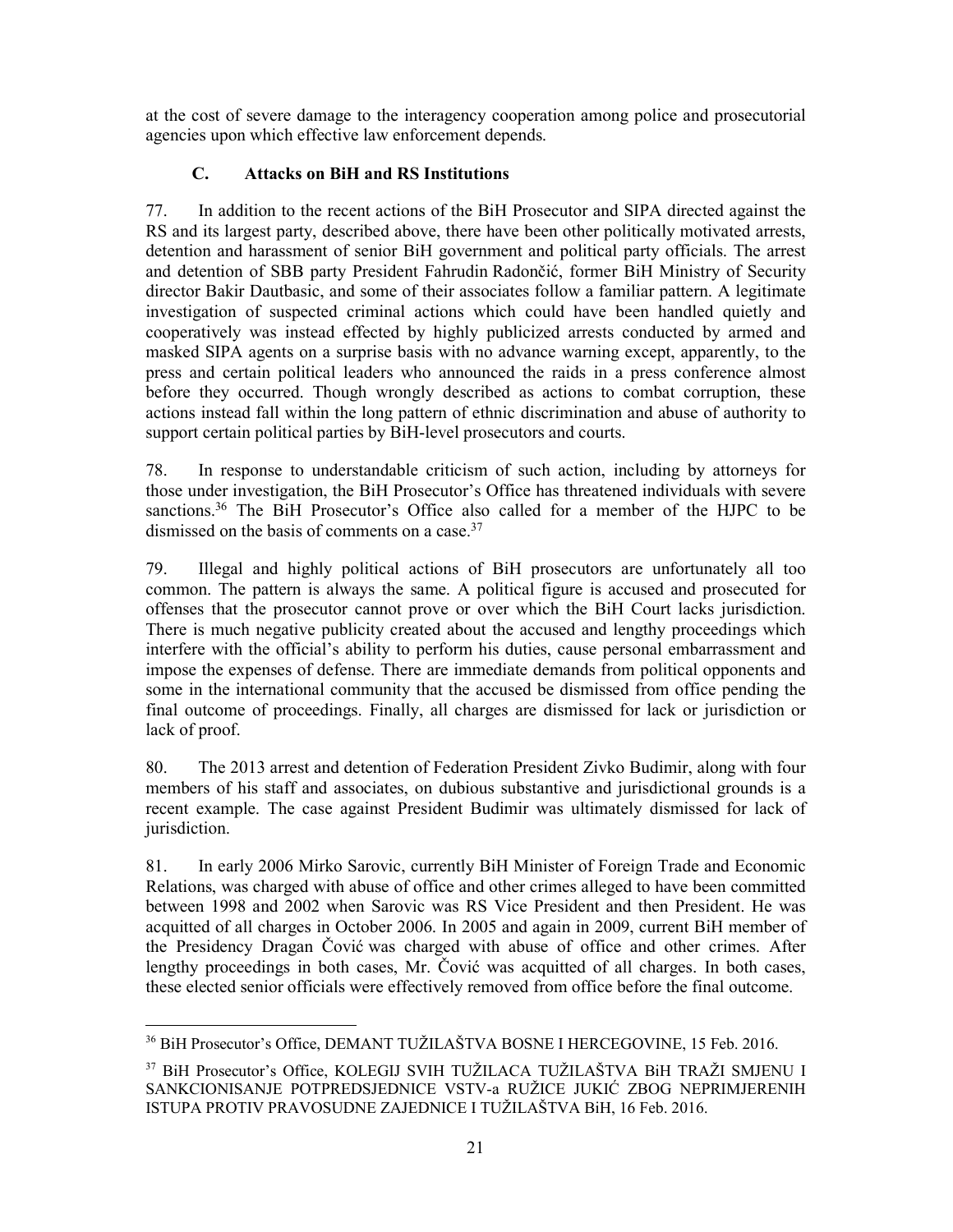at the cost of severe damage to the interagency cooperation among police and prosecutorial agencies upon which effective law enforcement depends.

## **C. Attacks on BiH and RS Institutions**

77. In addition to the recent actions of the BiH Prosecutor and SIPA directed against the RS and its largest party, described above, there have been other politically motivated arrests, detention and harassment of senior BiH government and political party officials. The arrest and detention of SBB party President Fahrudin Radončić, former BiH Ministry of Security director Bakir Dautbasic, and some of their associates follow a familiar pattern. A legitimate investigation of suspected criminal actions which could have been handled quietly and cooperatively was instead effected by highly publicized arrests conducted by armed and masked SIPA agents on a surprise basis with no advance warning except, apparently, to the press and certain political leaders who announced the raids in a press conference almost before they occurred. Though wrongly described as actions to combat corruption, these actions instead fall within the long pattern of ethnic discrimination and abuse of authority to support certain political parties by BiH-level prosecutors and courts.

78. In response to understandable criticism of such action, including by attorneys for those under investigation, the BiH Prosecutor's Office has threatened individuals with severe sanctions.<sup>36</sup> The BiH Prosecutor's Office also called for a member of the HJPC to be dismissed on the basis of comments on a case.  $37$ 

79. Illegal and highly political actions of BiH prosecutors are unfortunately all too common. The pattern is always the same. A political figure is accused and prosecuted for offenses that the prosecutor cannot prove or over which the BiH Court lacks jurisdiction. There is much negative publicity created about the accused and lengthy proceedings which interfere with the official's ability to perform his duties, cause personal embarrassment and impose the expenses of defense. There are immediate demands from political opponents and some in the international community that the accused be dismissed from office pending the final outcome of proceedings. Finally, all charges are dismissed for lack or jurisdiction or lack of proof.

80. The 2013 arrest and detention of Federation President Zivko Budimir, along with four members of his staff and associates, on dubious substantive and jurisdictional grounds is a recent example. The case against President Budimir was ultimately dismissed for lack of jurisdiction.

81. In early 2006 Mirko Sarovic, currently BiH Minister of Foreign Trade and Economic Relations, was charged with abuse of office and other crimes alleged to have been committed between 1998 and 2002 when Sarovic was RS Vice President and then President. He was acquitted of all charges in October 2006. In 2005 and again in 2009, current BiH member of the Presidency Dragan Čović was charged with abuse of office and other crimes. After lengthy proceedings in both cases, Mr. Čović was acquitted of all charges. In both cases, these elected senior officials were effectively removed from office before the final outcome.

 <sup>36</sup> BiH Prosecutor's Office, DEMANT TUŽILAŠTVA BOSNE I HERCEGOVINE, 15 Feb. 2016.

<sup>37</sup> BiH Prosecutor's Office, KOLEGIJ SVIH TUŽILACA TUŽILAŠTVA BiH TRAŽI SMJENU I SANKCIONISANJE POTPREDSJEDNICE VSTV-a RUŽICE JUKIĆ ZBOG NEPRIMJERENIH ISTUPA PROTIV PRAVOSUDNE ZAJEDNICE I TUŽILAŠTVA BiH, 16 Feb. 2016.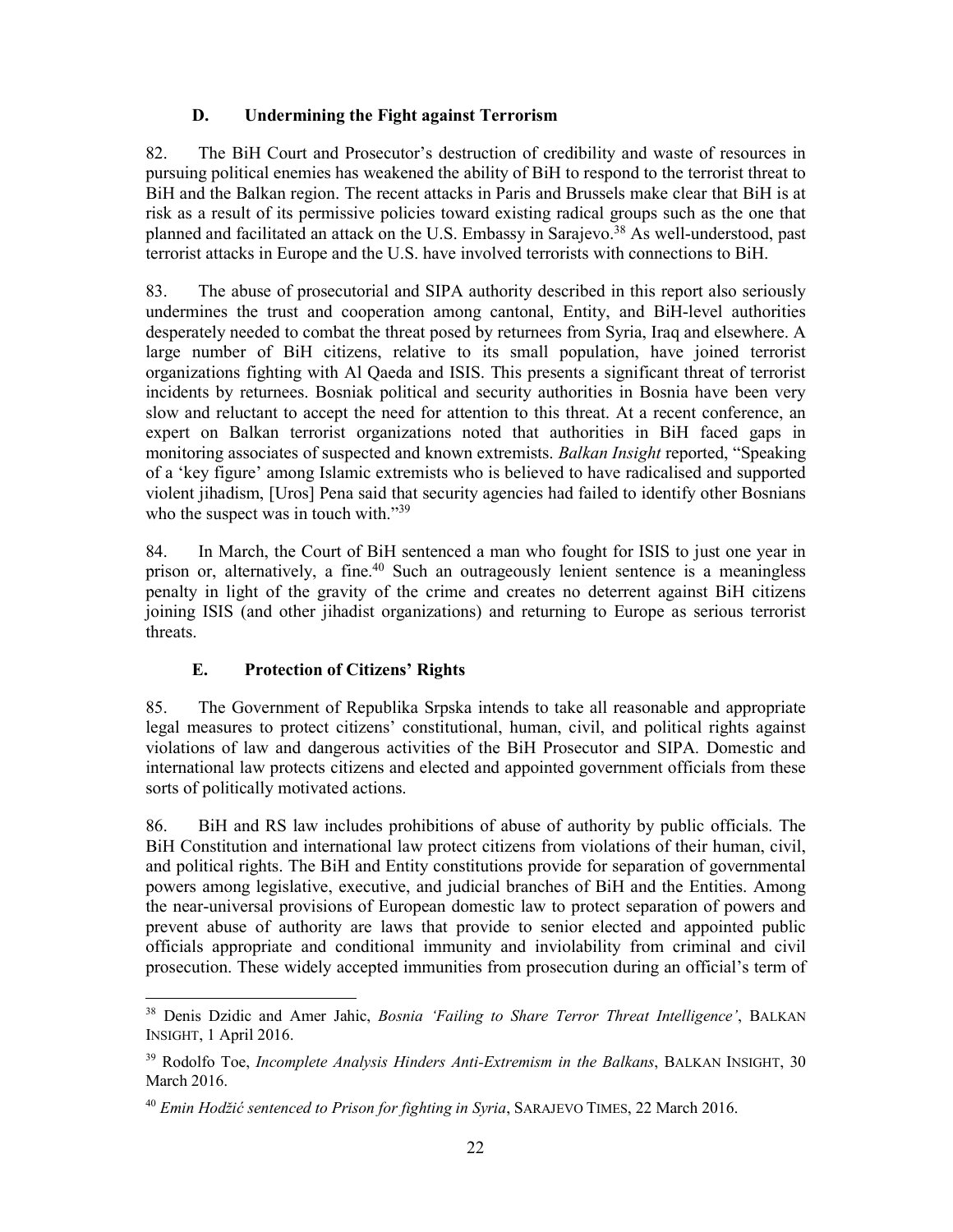## **D. Undermining the Fight against Terrorism**

82. The BiH Court and Prosecutor's destruction of credibility and waste of resources in pursuing political enemies has weakened the ability of BiH to respond to the terrorist threat to BiH and the Balkan region. The recent attacks in Paris and Brussels make clear that BiH is at risk as a result of its permissive policies toward existing radical groups such as the one that planned and facilitated an attack on the U.S. Embassy in Sarajevo.<sup>38</sup> As well-understood, past terrorist attacks in Europe and the U.S. have involved terrorists with connections to BiH.

83. The abuse of prosecutorial and SIPA authority described in this report also seriously undermines the trust and cooperation among cantonal, Entity, and BiH-level authorities desperately needed to combat the threat posed by returnees from Syria, Iraq and elsewhere. A large number of BiH citizens, relative to its small population, have joined terrorist organizations fighting with Al Qaeda and ISIS. This presents a significant threat of terrorist incidents by returnees. Bosniak political and security authorities in Bosnia have been very slow and reluctant to accept the need for attention to this threat. At a recent conference, an expert on Balkan terrorist organizations noted that authorities in BiH faced gaps in monitoring associates of suspected and known extremists. *Balkan Insight* reported, "Speaking of a 'key figure' among Islamic extremists who is believed to have radicalised and supported violent jihadism, [Uros] Pena said that security agencies had failed to identify other Bosnians who the suspect was in touch with."<sup>39</sup>

84. In March, the Court of BiH sentenced a man who fought for ISIS to just one year in prison or, alternatively, a fine.<sup>40</sup> Such an outrageously lenient sentence is a meaningless penalty in light of the gravity of the crime and creates no deterrent against BiH citizens joining ISIS (and other jihadist organizations) and returning to Europe as serious terrorist threats.

## **E. Protection of Citizens' Rights**

85. The Government of Republika Srpska intends to take all reasonable and appropriate legal measures to protect citizens' constitutional, human, civil, and political rights against violations of law and dangerous activities of the BiH Prosecutor and SIPA. Domestic and international law protects citizens and elected and appointed government officials from these sorts of politically motivated actions.

86. BiH and RS law includes prohibitions of abuse of authority by public officials. The BiH Constitution and international law protect citizens from violations of their human, civil, and political rights. The BiH and Entity constitutions provide for separation of governmental powers among legislative, executive, and judicial branches of BiH and the Entities. Among the near-universal provisions of European domestic law to protect separation of powers and prevent abuse of authority are laws that provide to senior elected and appointed public officials appropriate and conditional immunity and inviolability from criminal and civil prosecution. These widely accepted immunities from prosecution during an official's term of

 <sup>38</sup> Denis Dzidic and Amer Jahic, *Bosnia 'Failing to Share Terror Threat Intelligence'*, BALKAN INSIGHT, 1 April 2016.

<sup>39</sup> Rodolfo Toe, *Incomplete Analysis Hinders Anti-Extremism in the Balkans*, BALKAN INSIGHT, 30 March 2016.

<sup>40</sup> *Emin Hodžić sentenced to Prison for fighting in Syria*, SARAJEVO TIMES, 22 March 2016.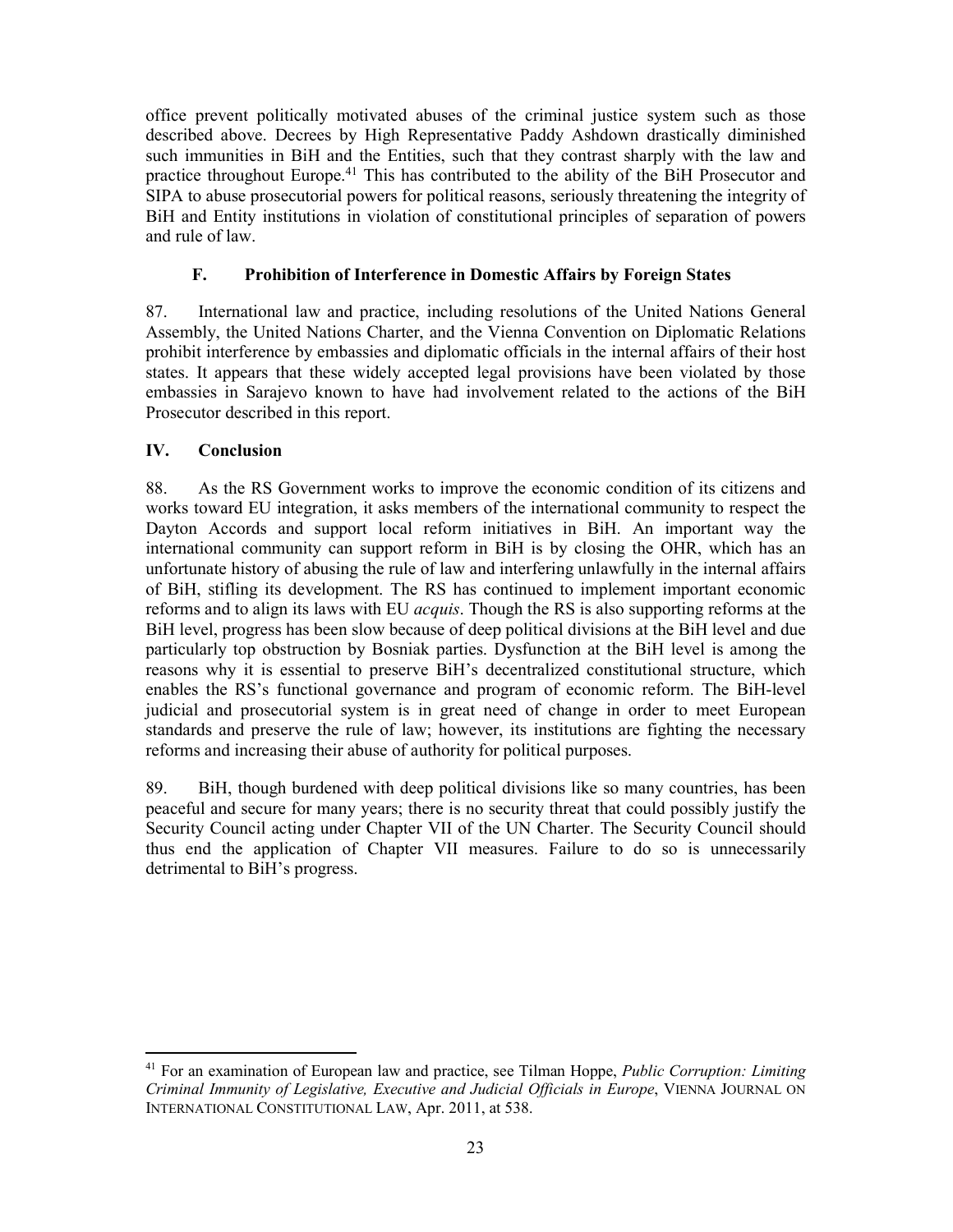office prevent politically motivated abuses of the criminal justice system such as those described above. Decrees by High Representative Paddy Ashdown drastically diminished such immunities in BiH and the Entities, such that they contrast sharply with the law and practice throughout Europe.41 This has contributed to the ability of the BiH Prosecutor and SIPA to abuse prosecutorial powers for political reasons, seriously threatening the integrity of BiH and Entity institutions in violation of constitutional principles of separation of powers and rule of law.

## **F. Prohibition of Interference in Domestic Affairs by Foreign States**

87. International law and practice, including resolutions of the United Nations General Assembly, the United Nations Charter, and the Vienna Convention on Diplomatic Relations prohibit interference by embassies and diplomatic officials in the internal affairs of their host states. It appears that these widely accepted legal provisions have been violated by those embassies in Sarajevo known to have had involvement related to the actions of the BiH Prosecutor described in this report.

## **IV. Conclusion**

88. As the RS Government works to improve the economic condition of its citizens and works toward EU integration, it asks members of the international community to respect the Dayton Accords and support local reform initiatives in BiH. An important way the international community can support reform in BiH is by closing the OHR, which has an unfortunate history of abusing the rule of law and interfering unlawfully in the internal affairs of BiH, stifling its development. The RS has continued to implement important economic reforms and to align its laws with EU *acquis*. Though the RS is also supporting reforms at the BiH level, progress has been slow because of deep political divisions at the BiH level and due particularly top obstruction by Bosniak parties. Dysfunction at the BiH level is among the reasons why it is essential to preserve BiH's decentralized constitutional structure, which enables the RS's functional governance and program of economic reform. The BiH-level judicial and prosecutorial system is in great need of change in order to meet European standards and preserve the rule of law; however, its institutions are fighting the necessary reforms and increasing their abuse of authority for political purposes.

89. BiH, though burdened with deep political divisions like so many countries, has been peaceful and secure for many years; there is no security threat that could possibly justify the Security Council acting under Chapter VII of the UN Charter. The Security Council should thus end the application of Chapter VII measures. Failure to do so is unnecessarily detrimental to BiH's progress.

 <sup>41</sup> For an examination of European law and practice, see Tilman Hoppe, *Public Corruption: Limiting Criminal Immunity of Legislative, Executive and Judicial Officials in Europe*, VIENNA JOURNAL ON INTERNATIONAL CONSTITUTIONAL LAW, Apr. 2011, at 538.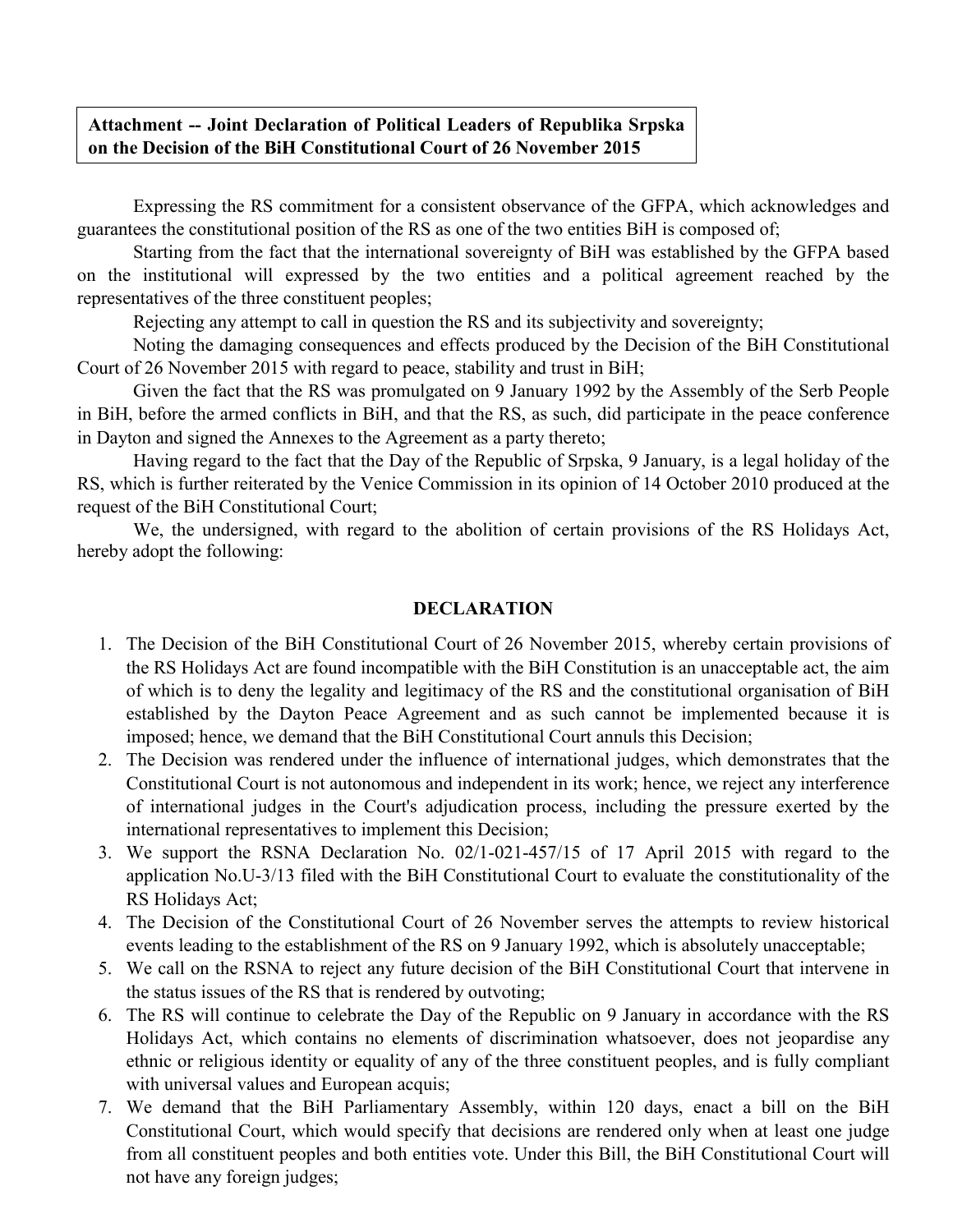## **Attachment -- Joint Declaration of Political Leaders of Republika Srpska on the Decision of the BiH Constitutional Court of 26 November 2015**

Expressing the RS commitment for a consistent observance of the GFPA, which acknowledges and guarantees the constitutional position of the RS as one of the two entities BiH is composed of;

Starting from the fact that the international sovereignty of BiH was established by the GFPA based on the institutional will expressed by the two entities and a political agreement reached by the representatives of the three constituent peoples;

Rejecting any attempt to call in question the RS and its subjectivity and sovereignty;

Noting the damaging consequences and effects produced by the Decision of the BiH Constitutional Court of 26 November 2015 with regard to peace, stability and trust in BiH;

Given the fact that the RS was promulgated on 9 January 1992 by the Assembly of the Serb People in BiH, before the armed conflicts in BiH, and that the RS, as such, did participate in the peace conference in Dayton and signed the Annexes to the Agreement as a party thereto;

Having regard to the fact that the Day of the Republic of Srpska, 9 January, is a legal holiday of the RS, which is further reiterated by the Venice Commission in its opinion of 14 October 2010 produced at the request of the BiH Constitutional Court;

We, the undersigned, with regard to the abolition of certain provisions of the RS Holidays Act, hereby adopt the following:

## **DECLARATION**

- 1. The Decision of the BiH Constitutional Court of 26 November 2015, whereby certain provisions of the RS Holidays Act are found incompatible with the BiH Constitution is an unacceptable act, the aim of which is to deny the legality and legitimacy of the RS and the constitutional organisation of BiH established by the Dayton Peace Agreement and as such cannot be implemented because it is imposed; hence, we demand that the BiH Constitutional Court annuls this Decision;
- 2. The Decision was rendered under the influence of international judges, which demonstrates that the Constitutional Court is not autonomous and independent in its work; hence, we reject any interference of international judges in the Court's adjudication process, including the pressure exerted by the international representatives to implement this Decision;
- 3. We support the RSNA Declaration No. 02/1-021-457/15 of 17 April 2015 with regard to the application No.U-3/13 filed with the BiH Constitutional Court to evaluate the constitutionality of the RS Holidays Act;
- 4. The Decision of the Constitutional Court of 26 November serves the attempts to review historical events leading to the establishment of the RS on 9 January 1992, which is absolutely unacceptable;
- 5. We call on the RSNA to reject any future decision of the BiH Constitutional Court that intervene in the status issues of the RS that is rendered by outvoting;
- 6. The RS will continue to celebrate the Day of the Republic on 9 January in accordance with the RS Holidays Act, which contains no elements of discrimination whatsoever, does not jeopardise any ethnic or religious identity or equality of any of the three constituent peoples, and is fully compliant with universal values and European acquis;
- 7. We demand that the BiH Parliamentary Assembly, within 120 days, enact a bill on the BiH Constitutional Court, which would specify that decisions are rendered only when at least one judge from all constituent peoples and both entities vote. Under this Bill, the BiH Constitutional Court will not have any foreign judges;